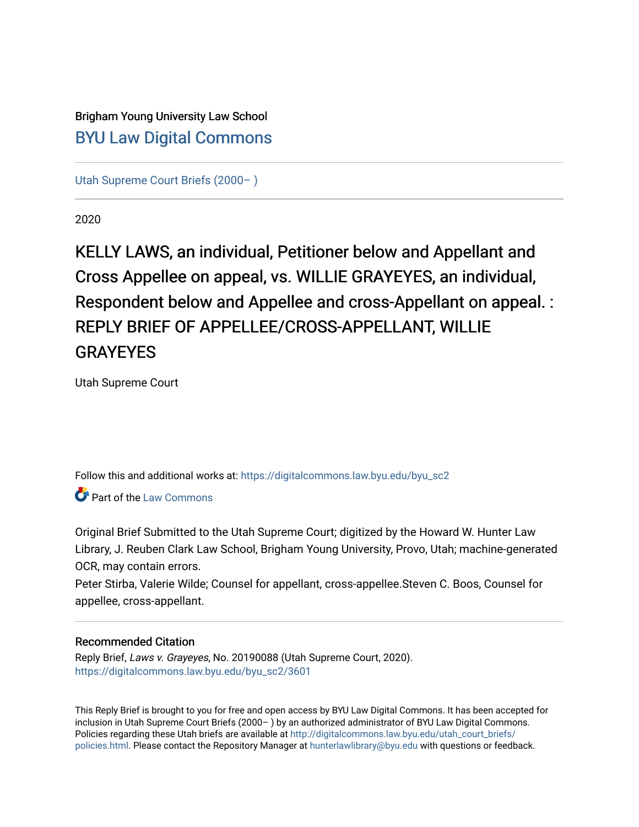# Brigham Young University Law School [BYU Law Digital Commons](https://digitalcommons.law.byu.edu/)

[Utah Supreme Court Briefs \(2000– \)](https://digitalcommons.law.byu.edu/byu_sc2)

2020

KELLY LAWS, an individual, Petitioner below and Appellant and Cross Appellee on appeal, vs. WILLIE GRAYEYES, an individual, Respondent below and Appellee and cross-Appellant on appeal. : REPLY BRIEF OF APPELLEE/CROSS-APPELLANT, WILLIE **GRAYEYES** 

Utah Supreme Court

Follow this and additional works at: [https://digitalcommons.law.byu.edu/byu\\_sc2](https://digitalcommons.law.byu.edu/byu_sc2?utm_source=digitalcommons.law.byu.edu%2Fbyu_sc2%2F3601&utm_medium=PDF&utm_campaign=PDFCoverPages) 

**C**<sup> $\bullet$ </sup> Part of the [Law Commons](https://network.bepress.com/hgg/discipline/578?utm_source=digitalcommons.law.byu.edu%2Fbyu_sc2%2F3601&utm_medium=PDF&utm_campaign=PDFCoverPages)

Original Brief Submitted to the Utah Supreme Court; digitized by the Howard W. Hunter Law Library, J. Reuben Clark Law School, Brigham Young University, Provo, Utah; machine-generated OCR, may contain errors.

Peter Stirba, Valerie Wilde; Counsel for appellant, cross-appellee.Steven C. Boos, Counsel for appellee, cross-appellant.

#### Recommended Citation

Reply Brief, Laws v. Grayeyes, No. 20190088 (Utah Supreme Court, 2020). [https://digitalcommons.law.byu.edu/byu\\_sc2/3601](https://digitalcommons.law.byu.edu/byu_sc2/3601?utm_source=digitalcommons.law.byu.edu%2Fbyu_sc2%2F3601&utm_medium=PDF&utm_campaign=PDFCoverPages)

This Reply Brief is brought to you for free and open access by BYU Law Digital Commons. It has been accepted for inclusion in Utah Supreme Court Briefs (2000– ) by an authorized administrator of BYU Law Digital Commons. Policies regarding these Utah briefs are available at [http://digitalcommons.law.byu.edu/utah\\_court\\_briefs/](http://digitalcommons.law.byu.edu/utah_court_briefs/policies.html) [policies.html](http://digitalcommons.law.byu.edu/utah_court_briefs/policies.html). Please contact the Repository Manager at hunterlawlibrary@byu.edu with questions or feedback.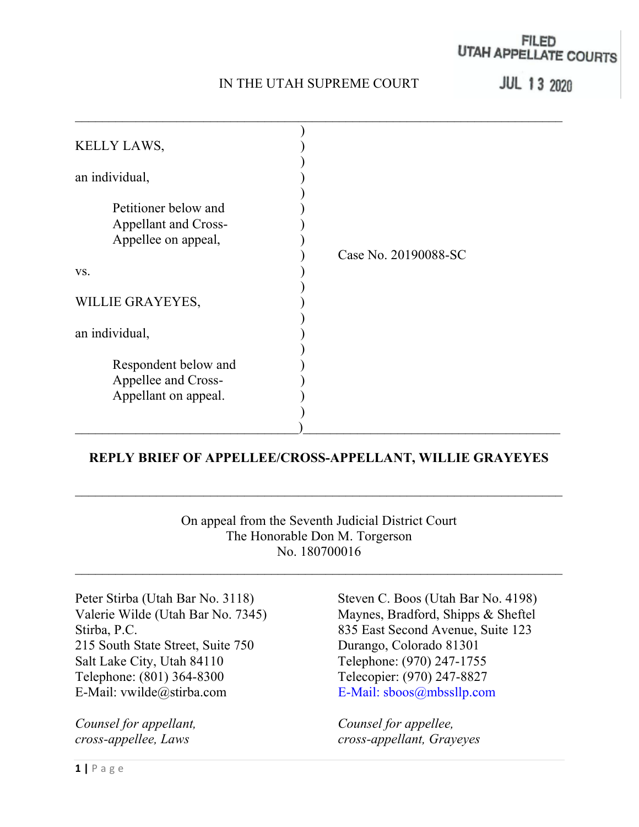## IN THE UTAH SUPREME COURT

## FILED UTAH APPELLATE COURTS

**JUL 13 2020** 

| KELLY LAWS,          |                      |
|----------------------|----------------------|
|                      |                      |
| an individual,       |                      |
|                      |                      |
| Petitioner below and |                      |
| Appellant and Cross- |                      |
| Appellee on appeal,  |                      |
|                      | Case No. 20190088-SC |
| VS.                  |                      |
|                      |                      |
| WILLIE GRAYEYES,     |                      |
|                      |                      |
| an individual,       |                      |
| Respondent below and |                      |
| Appellee and Cross-  |                      |
| Appellant on appeal. |                      |
|                      |                      |
|                      |                      |

### REPLY BRIEF OF APPELLEE/CROSS-APPELLANT, WILLIE GRAYEYES

 $\mathcal{L}_\text{max} = \frac{1}{2} \sum_{i=1}^n \mathcal{L}_\text{max}(\mathbf{z}_i - \mathbf{z}_i)$ 

On appeal from the Seventh Judicial District Court The Honorable Don M. Torgerson No. 180700016

215 South State Street, Suite 750 Durango, Colorado 81301 Salt Lake City, Utah 84110 Telephone: (970) 247-1755 Telephone: (801) 364-8300 Telecopier: (970) 247-8827 E-Mail: vwilde@stirba.com E-Mail: sboos@mbssllp.com

Peter Stirba (Utah Bar No. 3118) Steven C. Boos (Utah Bar No. 4198) Valerie Wilde (Utah Bar No. 7345) Maynes, Bradford, Shipps & Sheftel Stirba, P.C. 835 East Second Avenue, Suite 123

Counsel for appellant, Counsel for appellee, cross-appellee, Laws cross-appellant, Grayeyes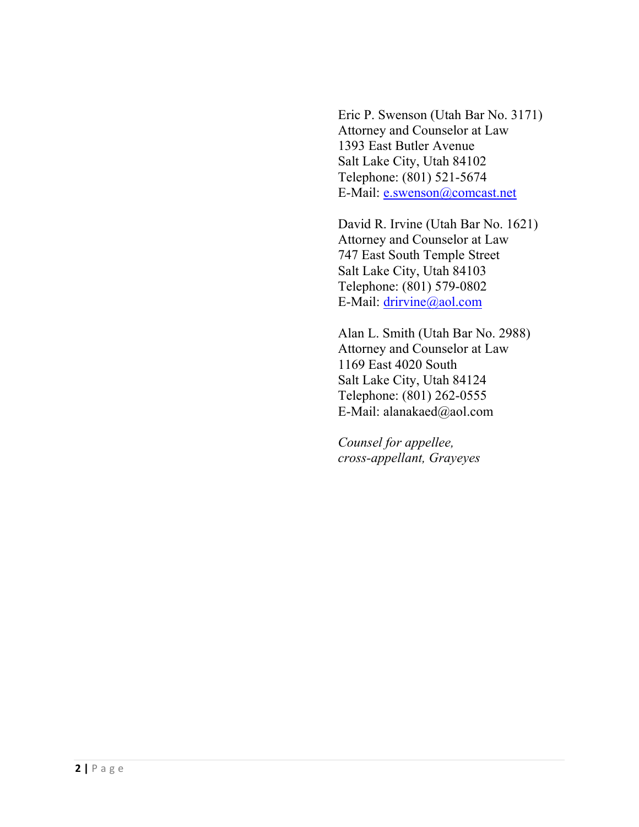Eric P. Swenson (Utah Bar No. 3171) Attorney and Counselor at Law 1393 East Butler Avenue Salt Lake City, Utah 84102 Telephone: (801) 521-5674 E-Mail: e.swenson@comcast.net

 David R. Irvine (Utah Bar No. 1621) Attorney and Counselor at Law 747 East South Temple Street Salt Lake City, Utah 84103 Telephone: (801) 579-0802 E-Mail: drirvine@aol.com

 Alan L. Smith (Utah Bar No. 2988) Attorney and Counselor at Law 1169 East 4020 South Salt Lake City, Utah 84124 Telephone: (801) 262-0555 E-Mail: alanakaed@aol.com

 Counsel for appellee, cross-appellant, Grayeyes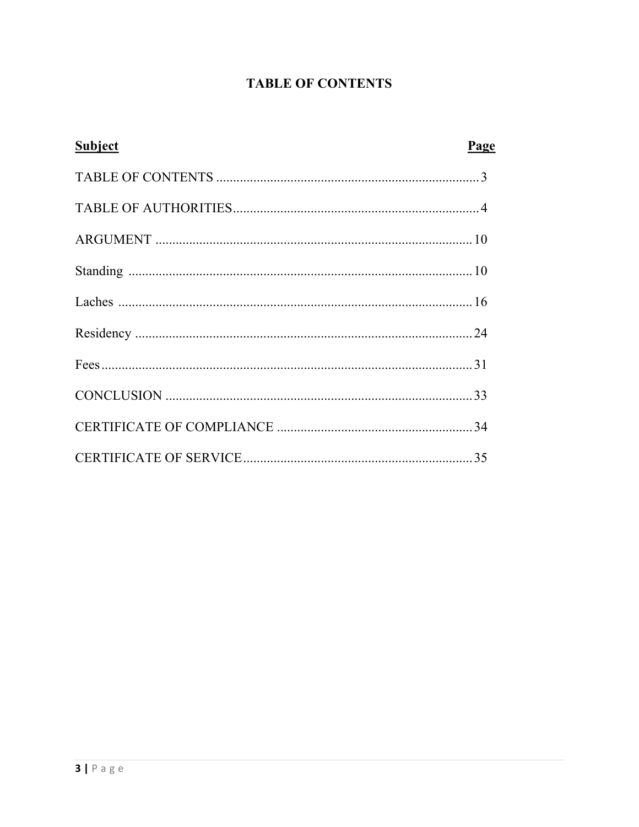## **TABLE OF CONTENTS**

| <b>Subject</b> | Page |
|----------------|------|
|                |      |
|                |      |
|                |      |
|                |      |
|                |      |
|                |      |
|                |      |
|                |      |
|                |      |
|                |      |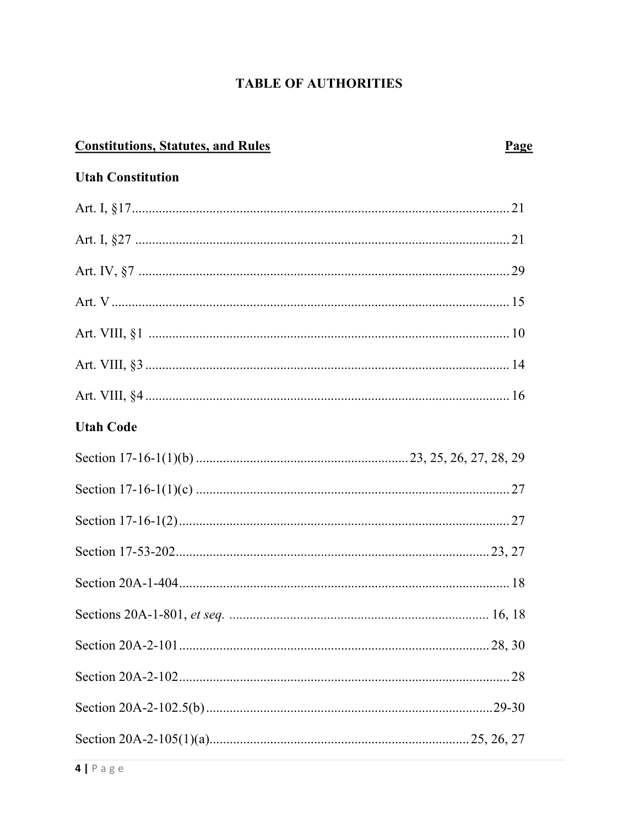## **TABLE OF AUTHORITIES**

| <b>Constitutions, Statutes, and Rules</b> |  |
|-------------------------------------------|--|
| <b>Utah Constitution</b>                  |  |
|                                           |  |
|                                           |  |
|                                           |  |
|                                           |  |
|                                           |  |
|                                           |  |
|                                           |  |
| <b>Utah Code</b>                          |  |
|                                           |  |
|                                           |  |
|                                           |  |
|                                           |  |
|                                           |  |
|                                           |  |
|                                           |  |
|                                           |  |
|                                           |  |
|                                           |  |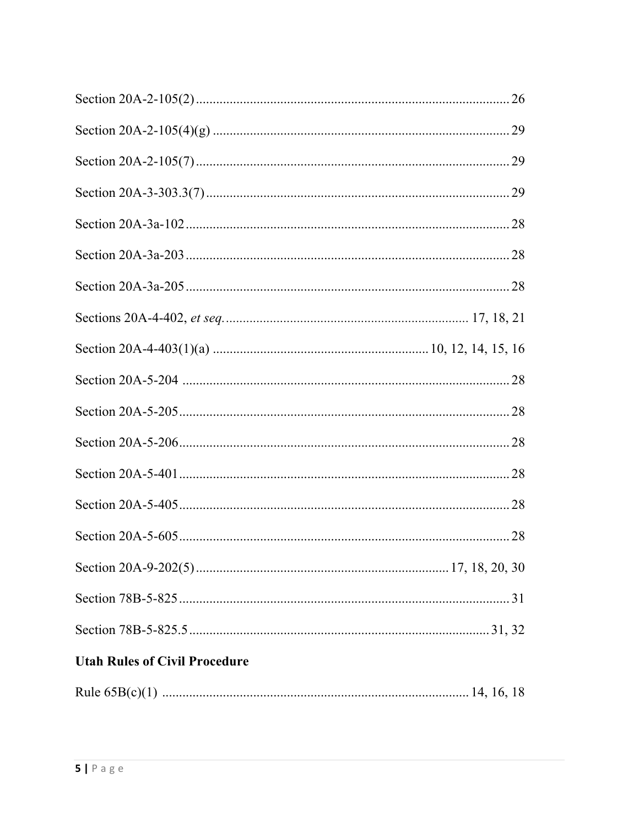| <b>Utah Rules of Civil Procedure</b> |
|--------------------------------------|
|                                      |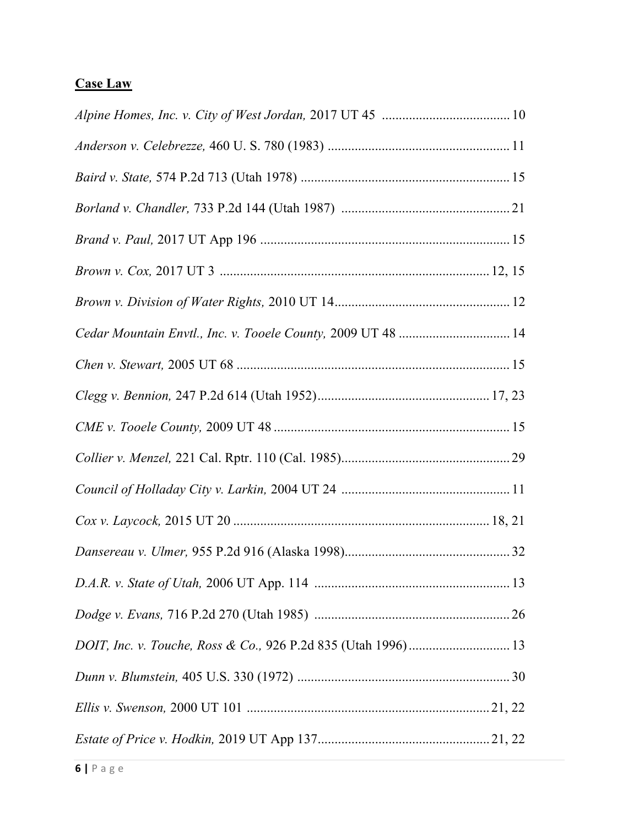# Case Law

| Cedar Mountain Envtl., Inc. v. Tooele County, 2009 UT 48  14 |
|--------------------------------------------------------------|
|                                                              |
|                                                              |
|                                                              |
|                                                              |
|                                                              |
|                                                              |
|                                                              |
|                                                              |
|                                                              |
|                                                              |
|                                                              |
|                                                              |
|                                                              |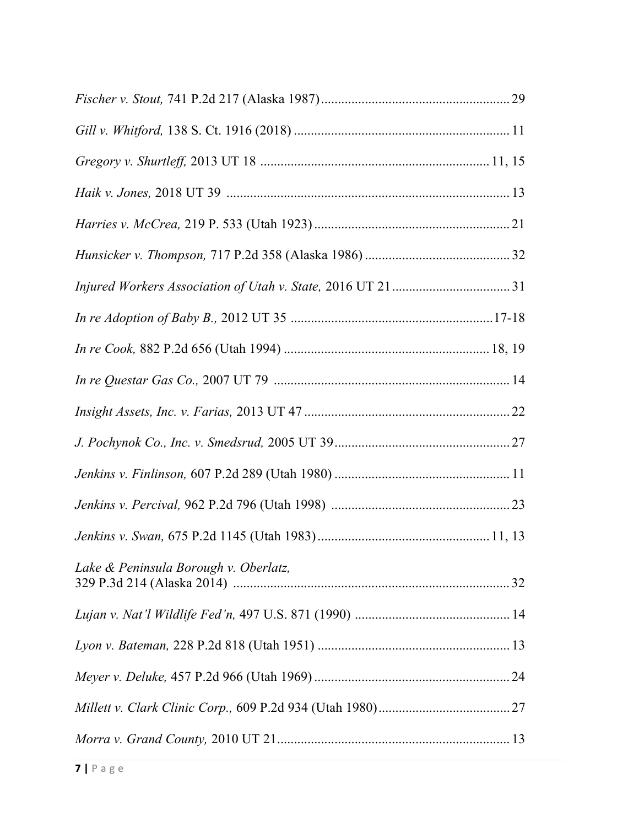| Lake & Peninsula Borough v. Oberlatz, |  |
|---------------------------------------|--|
|                                       |  |
|                                       |  |
|                                       |  |
|                                       |  |
|                                       |  |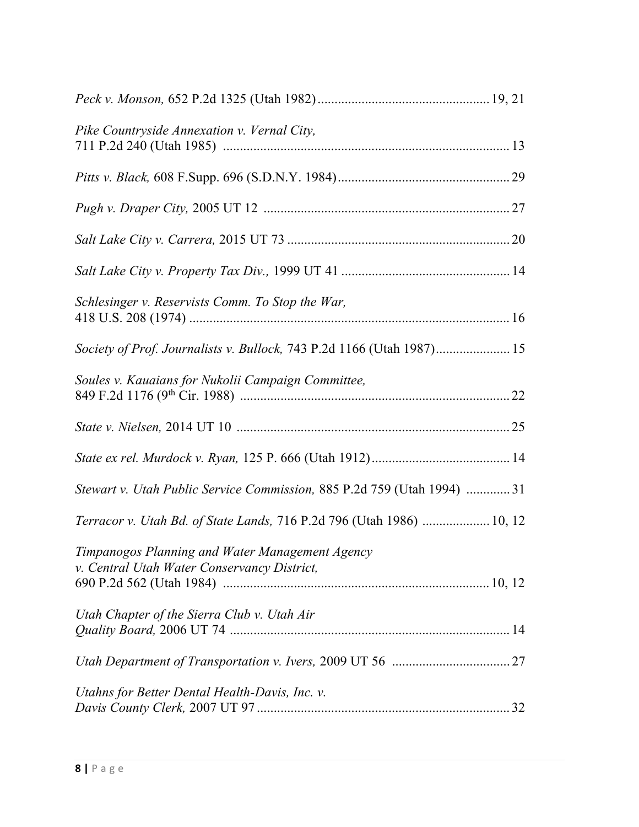| Pike Countryside Annexation v. Vernal City,                                                    |
|------------------------------------------------------------------------------------------------|
|                                                                                                |
|                                                                                                |
|                                                                                                |
|                                                                                                |
| Schlesinger v. Reservists Comm. To Stop the War,                                               |
|                                                                                                |
| Soules v. Kauaians for Nukolii Campaign Committee,                                             |
|                                                                                                |
|                                                                                                |
| Stewart v. Utah Public Service Commission, 885 P.2d 759 (Utah 1994) 31                         |
| Terracor v. Utah Bd. of State Lands, 716 P.2d 796 (Utah 1986)  10, 12                          |
| Timpanogos Planning and Water Management Agency<br>v. Central Utah Water Conservancy District, |
| Utah Chapter of the Sierra Club v. Utah Air                                                    |
|                                                                                                |
| Utahns for Better Dental Health-Davis, Inc. v.                                                 |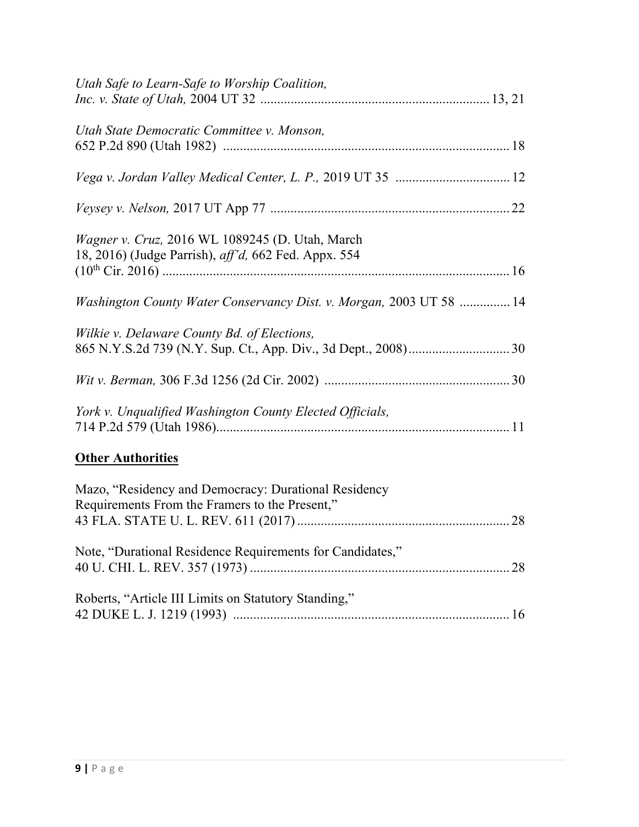| Utah Safe to Learn-Safe to Worship Coalition,                                                                   |
|-----------------------------------------------------------------------------------------------------------------|
| Utah State Democratic Committee v. Monson,                                                                      |
|                                                                                                                 |
|                                                                                                                 |
| Wagner v. Cruz, 2016 WL 1089245 (D. Utah, March<br>18, 2016) (Judge Parrish), <i>aff'd</i> , 662 Fed. Appx. 554 |
| Washington County Water Conservancy Dist. v. Morgan, 2003 UT 58  14                                             |
| Wilkie v. Delaware County Bd. of Elections,                                                                     |
|                                                                                                                 |
| York v. Unqualified Washington County Elected Officials,                                                        |
| <b>Other Authorities</b>                                                                                        |
| Mazo, "Residency and Democracy: Durational Residency<br>Requirements From the Framers to the Present,"          |
| Note, "Durational Residence Requirements for Candidates,"                                                       |
| Roberts, "Article III Limits on Statutory Standing,"                                                            |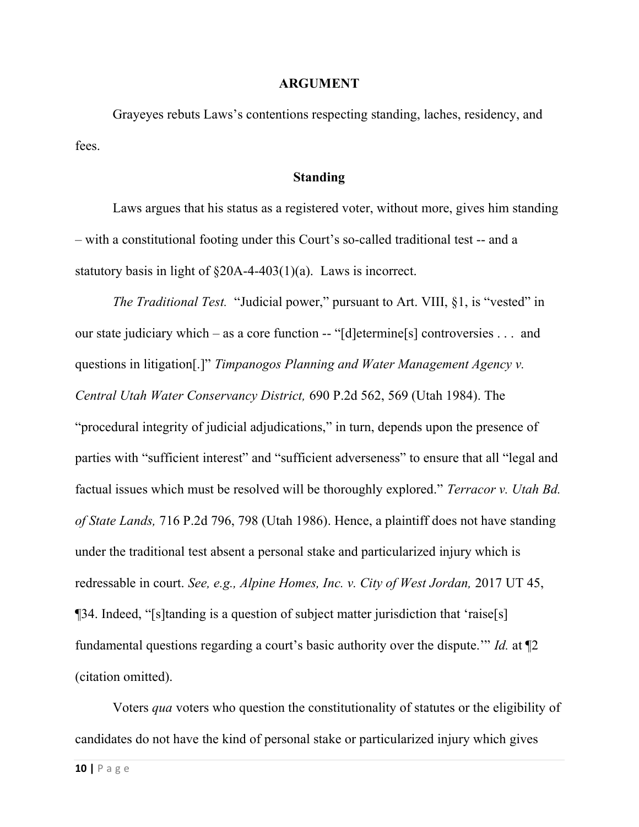#### ARGUMENT

Grayeyes rebuts Laws's contentions respecting standing, laches, residency, and fees.

#### Standing

Laws argues that his status as a registered voter, without more, gives him standing – with a constitutional footing under this Court's so-called traditional test -- and a statutory basis in light of §20A-4-403(1)(a). Laws is incorrect.

The Traditional Test. "Judicial power," pursuant to Art. VIII, §1, is "vested" in our state judiciary which – as a core function -- "[d]etermine[s] controversies . . . and questions in litigation[.]" Timpanogos Planning and Water Management Agency v. Central Utah Water Conservancy District, 690 P.2d 562, 569 (Utah 1984). The "procedural integrity of judicial adjudications," in turn, depends upon the presence of parties with "sufficient interest" and "sufficient adverseness" to ensure that all "legal and factual issues which must be resolved will be thoroughly explored." Terracor v. Utah Bd. of State Lands, 716 P.2d 796, 798 (Utah 1986). Hence, a plaintiff does not have standing under the traditional test absent a personal stake and particularized injury which is redressable in court. See, e.g., Alpine Homes, Inc. v. City of West Jordan, 2017 UT 45, ¶34. Indeed, "[s]tanding is a question of subject matter jurisdiction that 'raise[s] fundamental questions regarding a court's basic authority over the dispute.'" Id. at  $\P$ 2 (citation omitted).

Voters *qua* voters who question the constitutionality of statutes or the eligibility of candidates do not have the kind of personal stake or particularized injury which gives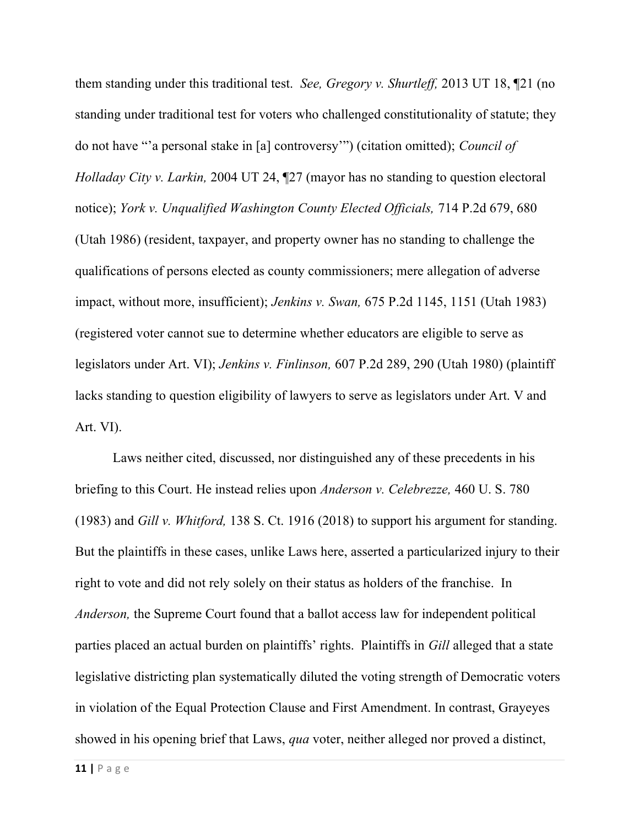them standing under this traditional test. See, Gregory v. Shurtleff, 2013 UT 18, [21 (no standing under traditional test for voters who challenged constitutionality of statute; they do not have "'a personal stake in [a] controversy'") (citation omitted); Council of Holladay City v. Larkin, 2004 UT 24, ¶27 (mayor has no standing to question electoral notice); York v. Unqualified Washington County Elected Officials, 714 P.2d 679, 680 (Utah 1986) (resident, taxpayer, and property owner has no standing to challenge the qualifications of persons elected as county commissioners; mere allegation of adverse impact, without more, insufficient); Jenkins v. Swan, 675 P.2d 1145, 1151 (Utah 1983) (registered voter cannot sue to determine whether educators are eligible to serve as legislators under Art. VI); Jenkins v. Finlinson, 607 P.2d 289, 290 (Utah 1980) (plaintiff lacks standing to question eligibility of lawyers to serve as legislators under Art. V and Art. VI).

Laws neither cited, discussed, nor distinguished any of these precedents in his briefing to this Court. He instead relies upon Anderson v. Celebrezze, 460 U. S. 780 (1983) and Gill v. Whitford, 138 S. Ct. 1916 (2018) to support his argument for standing. But the plaintiffs in these cases, unlike Laws here, asserted a particularized injury to their right to vote and did not rely solely on their status as holders of the franchise. In Anderson, the Supreme Court found that a ballot access law for independent political parties placed an actual burden on plaintiffs' rights. Plaintiffs in Gill alleged that a state legislative districting plan systematically diluted the voting strength of Democratic voters in violation of the Equal Protection Clause and First Amendment. In contrast, Grayeyes showed in his opening brief that Laws, *qua* voter, neither alleged nor proved a distinct,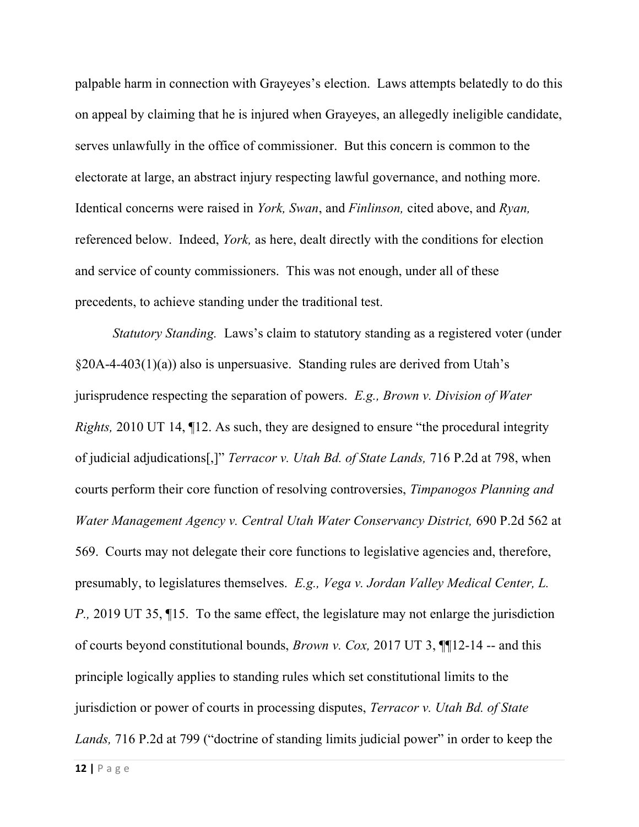palpable harm in connection with Grayeyes's election. Laws attempts belatedly to do this on appeal by claiming that he is injured when Grayeyes, an allegedly ineligible candidate, serves unlawfully in the office of commissioner. But this concern is common to the electorate at large, an abstract injury respecting lawful governance, and nothing more. Identical concerns were raised in York, Swan, and Finlinson, cited above, and Ryan, referenced below. Indeed, *York*, as here, dealt directly with the conditions for election and service of county commissioners. This was not enough, under all of these precedents, to achieve standing under the traditional test.

Statutory Standing. Laws's claim to statutory standing as a registered voter (under  $\S20A-4-403(1)(a)$  also is unpersuasive. Standing rules are derived from Utah's jurisprudence respecting the separation of powers.  $E.g., Brown v. Division of Water$ Rights, 2010 UT 14, ¶12. As such, they are designed to ensure "the procedural integrity of judicial adjudications[,]" Terracor v. Utah Bd. of State Lands, 716 P.2d at 798, when courts perform their core function of resolving controversies, Timpanogos Planning and Water Management Agency v. Central Utah Water Conservancy District, 690 P.2d 562 at 569. Courts may not delegate their core functions to legislative agencies and, therefore, presumably, to legislatures themselves. E.g., Vega v. Jordan Valley Medical Center, L. P., 2019 UT 35, ¶15. To the same effect, the legislature may not enlarge the jurisdiction of courts beyond constitutional bounds, *Brown v. Cox*, 2017 UT 3,  $\P$ 12-14 -- and this principle logically applies to standing rules which set constitutional limits to the jurisdiction or power of courts in processing disputes, *Terracor v. Utah Bd. of State* Lands, 716 P.2d at 799 ("doctrine of standing limits judicial power" in order to keep the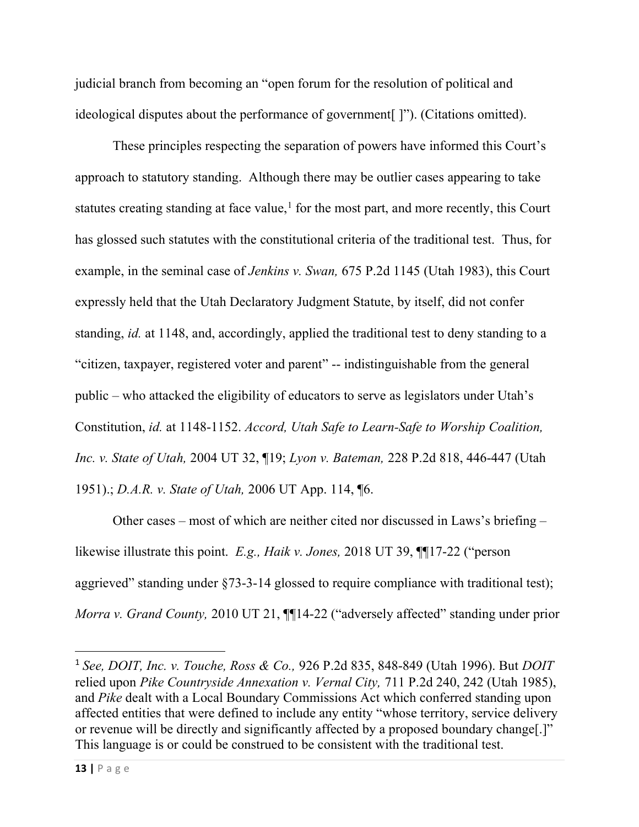judicial branch from becoming an "open forum for the resolution of political and ideological disputes about the performance of government[ ]"). (Citations omitted).

These principles respecting the separation of powers have informed this Court's approach to statutory standing. Although there may be outlier cases appearing to take statutes creating standing at face value,<sup>1</sup> for the most part, and more recently, this Court has glossed such statutes with the constitutional criteria of the traditional test. Thus, for example, in the seminal case of Jenkins v. Swan, 675 P.2d 1145 (Utah 1983), this Court expressly held that the Utah Declaratory Judgment Statute, by itself, did not confer standing, id. at 1148, and, accordingly, applied the traditional test to deny standing to a "citizen, taxpayer, registered voter and parent" -- indistinguishable from the general public – who attacked the eligibility of educators to serve as legislators under Utah's Constitution, id. at 1148-1152. Accord, Utah Safe to Learn-Safe to Worship Coalition, Inc. v. State of Utah, 2004 UT 32, ¶19; Lyon v. Bateman, 228 P.2d 818, 446-447 (Utah 1951).; D.A.R. v. State of Utah, 2006 UT App. 114, ¶6.

Other cases – most of which are neither cited nor discussed in Laws's briefing – likewise illustrate this point. E.g., Haik v. Jones, 2018 UT 39, ¶¶17-22 ("person aggrieved" standing under §73-3-14 glossed to require compliance with traditional test); Morra v. Grand County, 2010 UT 21,  $\P$ 14-22 ("adversely affected" standing under prior

<sup>&</sup>lt;sup>1</sup> See, DOIT, Inc. v. Touche, Ross & Co., 926 P.2d 835, 848-849 (Utah 1996). But DOIT relied upon Pike Countryside Annexation v. Vernal City, 711 P.2d 240, 242 (Utah 1985), and Pike dealt with a Local Boundary Commissions Act which conferred standing upon affected entities that were defined to include any entity "whose territory, service delivery or revenue will be directly and significantly affected by a proposed boundary change[.]" This language is or could be construed to be consistent with the traditional test.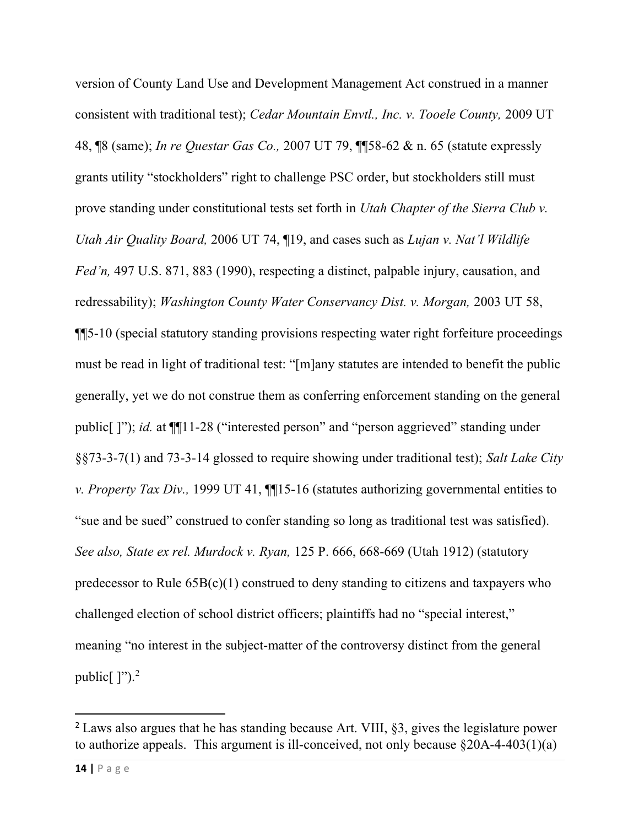version of County Land Use and Development Management Act construed in a manner consistent with traditional test); Cedar Mountain Envtl., Inc. v. Tooele County, 2009 UT 48, ¶8 (same); In re Questar Gas Co., 2007 UT 79, ¶¶58-62 & n. 65 (statute expressly grants utility "stockholders" right to challenge PSC order, but stockholders still must prove standing under constitutional tests set forth in Utah Chapter of the Sierra Club v. Utah Air Quality Board, 2006 UT 74, ¶19, and cases such as Lujan v. Nat'l Wildlife Fed'n, 497 U.S. 871, 883 (1990), respecting a distinct, palpable injury, causation, and redressability); Washington County Water Conservancy Dist. v. Morgan, 2003 UT 58, ¶¶5-10 (special statutory standing provisions respecting water right forfeiture proceedings must be read in light of traditional test: "[m]any statutes are intended to benefit the public generally, yet we do not construe them as conferring enforcement standing on the general public[ ]"); id. at ¶¶11-28 ("interested person" and "person aggrieved" standing under §§73-3-7(1) and 73-3-14 glossed to require showing under traditional test); Salt Lake City v. Property Tax Div., 1999 UT 41, ¶¶15-16 (statutes authorizing governmental entities to "sue and be sued" construed to confer standing so long as traditional test was satisfied). See also, State ex rel. Murdock v. Ryan, 125 P. 666, 668-669 (Utah 1912) (statutory predecessor to Rule 65B(c)(1) construed to deny standing to citizens and taxpayers who challenged election of school district officers; plaintiffs had no "special interest," meaning "no interest in the subject-matter of the controversy distinct from the general public $[$  ]").<sup>2</sup>

<sup>2</sup> Laws also argues that he has standing because Art. VIII, §3, gives the legislature power to authorize appeals. This argument is ill-conceived, not only because  $\delta$ 20A-4-403(1)(a)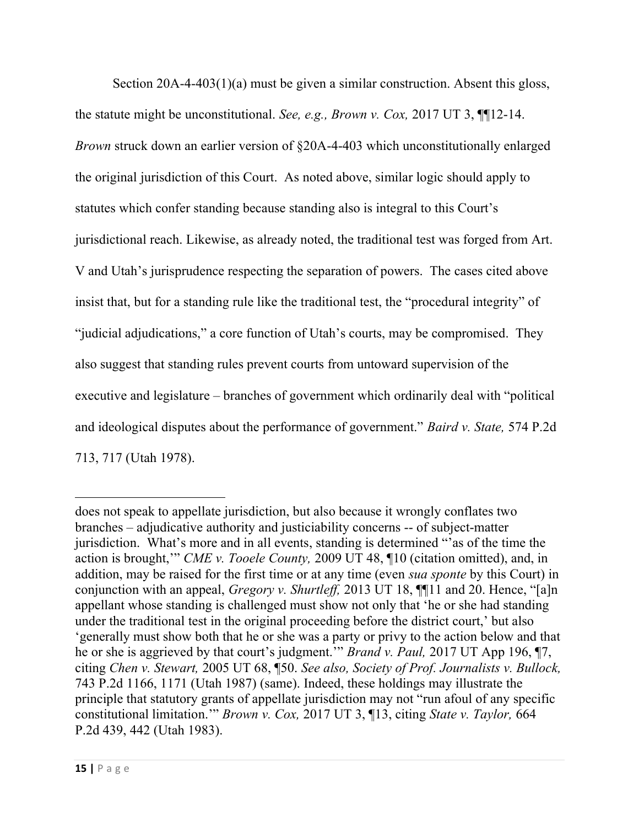Section 20A-4-403(1)(a) must be given a similar construction. Absent this gloss, the statute might be unconstitutional. See, e.g., Brown v. Cox, 2017 UT 3, ¶¶12-14. Brown struck down an earlier version of §20A-4-403 which unconstitutionally enlarged the original jurisdiction of this Court. As noted above, similar logic should apply to statutes which confer standing because standing also is integral to this Court's jurisdictional reach. Likewise, as already noted, the traditional test was forged from Art. V and Utah's jurisprudence respecting the separation of powers. The cases cited above insist that, but for a standing rule like the traditional test, the "procedural integrity" of "judicial adjudications," a core function of Utah's courts, may be compromised. They also suggest that standing rules prevent courts from untoward supervision of the executive and legislature – branches of government which ordinarily deal with "political and ideological disputes about the performance of government." *Baird v. State*, 574 P.2d 713, 717 (Utah 1978).

does not speak to appellate jurisdiction, but also because it wrongly conflates two branches – adjudicative authority and justiciability concerns -- of subject-matter jurisdiction. What's more and in all events, standing is determined "'as of the time the action is brought,'" CME v. Tooele County, 2009 UT 48, ¶10 (citation omitted), and, in addition, may be raised for the first time or at any time (even sua sponte by this Court) in conjunction with an appeal, *Gregory v. Shurtleff*, 2013 UT 18,  $\P$ [11 and 20. Hence, "[a]n appellant whose standing is challenged must show not only that 'he or she had standing under the traditional test in the original proceeding before the district court,' but also 'generally must show both that he or she was a party or privy to the action below and that he or she is aggrieved by that court's judgment.'" Brand v. Paul, 2017 UT App 196, ¶7, citing Chen v. Stewart, 2005 UT 68, ¶50. See also, Society of Prof. Journalists v. Bullock, 743 P.2d 1166, 1171 (Utah 1987) (same). Indeed, these holdings may illustrate the principle that statutory grants of appellate jurisdiction may not "run afoul of any specific constitutional limitation.'" Brown v. Cox, 2017 UT 3, ¶13, citing State v. Taylor, 664 P.2d 439, 442 (Utah 1983).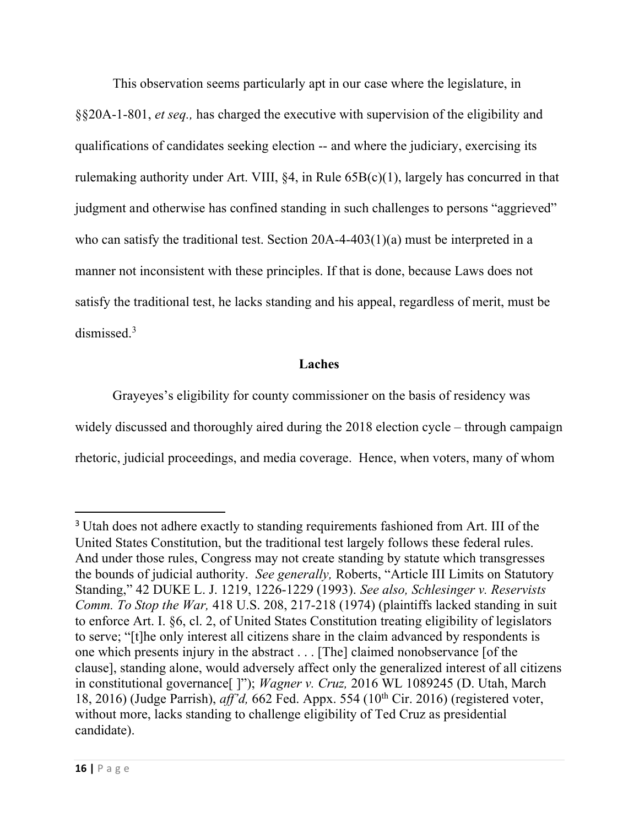This observation seems particularly apt in our case where the legislature, in §§20A-1-801, et seq., has charged the executive with supervision of the eligibility and qualifications of candidates seeking election -- and where the judiciary, exercising its rulemaking authority under Art. VIII, §4, in Rule 65B(c)(1), largely has concurred in that judgment and otherwise has confined standing in such challenges to persons "aggrieved" who can satisfy the traditional test. Section 20A-4-403(1)(a) must be interpreted in a manner not inconsistent with these principles. If that is done, because Laws does not satisfy the traditional test, he lacks standing and his appeal, regardless of merit, must be dismissed.<sup>3</sup>

### Laches

 Grayeyes's eligibility for county commissioner on the basis of residency was widely discussed and thoroughly aired during the 2018 election cycle – through campaign rhetoric, judicial proceedings, and media coverage. Hence, when voters, many of whom

<sup>&</sup>lt;sup>3</sup> Utah does not adhere exactly to standing requirements fashioned from Art. III of the United States Constitution, but the traditional test largely follows these federal rules. And under those rules, Congress may not create standing by statute which transgresses the bounds of judicial authority. See generally, Roberts, "Article III Limits on Statutory Standing," 42 DUKE L. J. 1219, 1226-1229 (1993). See also, Schlesinger v. Reservists Comm. To Stop the War, 418 U.S. 208, 217-218 (1974) (plaintiffs lacked standing in suit to enforce Art. I. §6, cl. 2, of United States Constitution treating eligibility of legislators to serve; "[t]he only interest all citizens share in the claim advanced by respondents is one which presents injury in the abstract . . . [The] claimed nonobservance [of the clause], standing alone, would adversely affect only the generalized interest of all citizens in constitutional governance[ ]"); Wagner v. Cruz, 2016 WL 1089245 (D. Utah, March 18, 2016) (Judge Parrish),  $aff'd$ , 662 Fed. Appx. 554 (10<sup>th</sup> Cir. 2016) (registered voter, without more, lacks standing to challenge eligibility of Ted Cruz as presidential candidate).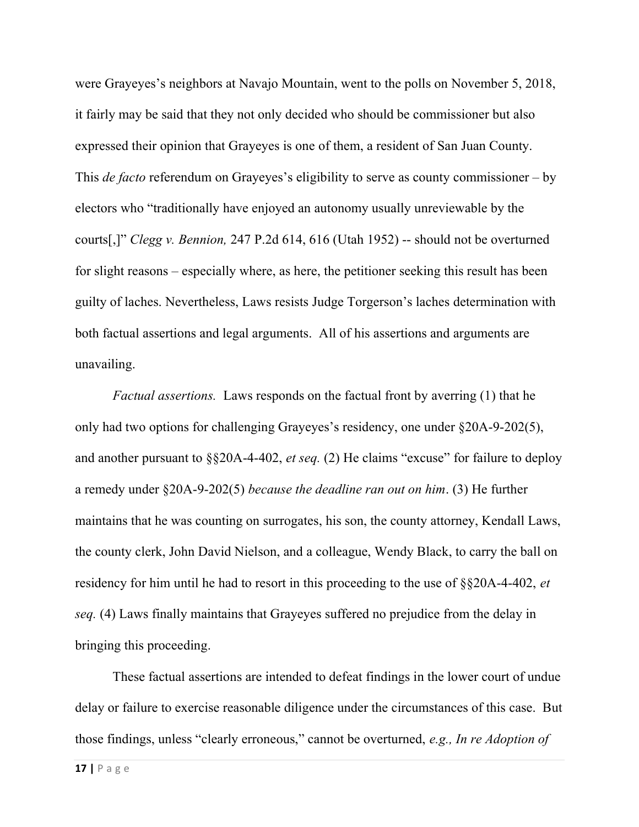were Grayeyes's neighbors at Navajo Mountain, went to the polls on November 5, 2018, it fairly may be said that they not only decided who should be commissioner but also expressed their opinion that Grayeyes is one of them, a resident of San Juan County. This *de facto* referendum on Grayeyes's eligibility to serve as county commissioner – by electors who "traditionally have enjoyed an autonomy usually unreviewable by the courts[,]" Clegg v. Bennion, 247 P.2d 614, 616 (Utah 1952) -- should not be overturned for slight reasons – especially where, as here, the petitioner seeking this result has been guilty of laches. Nevertheless, Laws resists Judge Torgerson's laches determination with both factual assertions and legal arguments. All of his assertions and arguments are unavailing.

Factual assertions. Laws responds on the factual front by averring (1) that he only had two options for challenging Grayeyes's residency, one under §20A-9-202(5), and another pursuant to  $\S$ \$20A-4-402, *et seq.* (2) He claims "excuse" for failure to deploy a remedy under §20A-9-202(5) because the deadline ran out on him. (3) He further maintains that he was counting on surrogates, his son, the county attorney, Kendall Laws, the county clerk, John David Nielson, and a colleague, Wendy Black, to carry the ball on residency for him until he had to resort in this proceeding to the use of §§20A-4-402, et seq. (4) Laws finally maintains that Grayeyes suffered no prejudice from the delay in bringing this proceeding.

 These factual assertions are intended to defeat findings in the lower court of undue delay or failure to exercise reasonable diligence under the circumstances of this case. But those findings, unless "clearly erroneous," cannot be overturned, e.g., In re Adoption of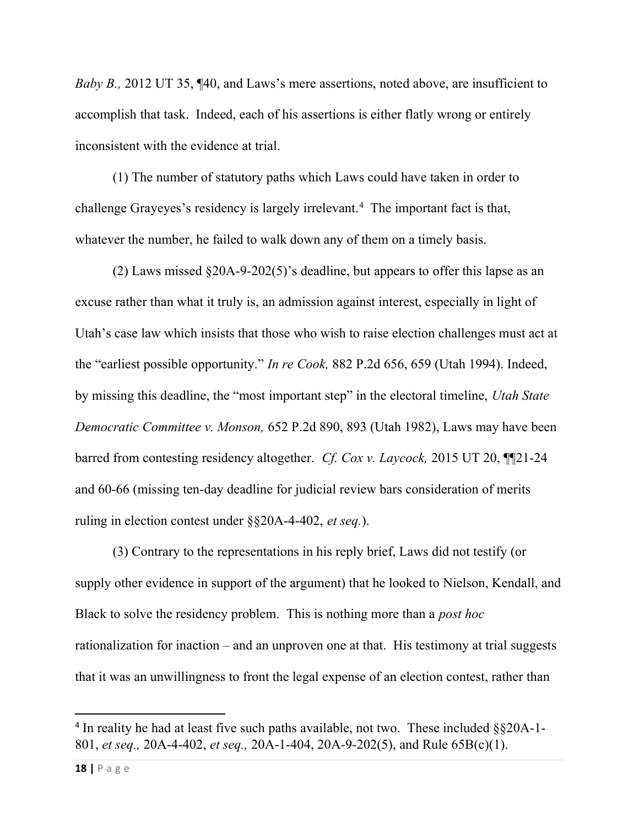Baby B., 2012 UT 35, ¶40, and Laws's mere assertions, noted above, are insufficient to accomplish that task. Indeed, each of his assertions is either flatly wrong or entirely inconsistent with the evidence at trial.

(1) The number of statutory paths which Laws could have taken in order to challenge Grayeyes's residency is largely irrelevant.<sup>4</sup> The important fact is that, whatever the number, he failed to walk down any of them on a timely basis.

(2) Laws missed §20A-9-202(5)'s deadline, but appears to offer this lapse as an excuse rather than what it truly is, an admission against interest, especially in light of Utah's case law which insists that those who wish to raise election challenges must act at the "earliest possible opportunity." In re Cook, 882 P.2d 656, 659 (Utah 1994). Indeed, by missing this deadline, the "most important step" in the electoral timeline, Utah State Democratic Committee v. Monson, 652 P.2d 890, 893 (Utah 1982), Laws may have been barred from contesting residency altogether. Cf. Cox v. Laycock, 2015 UT 20, ¶¶21-24 and 60-66 (missing ten-day deadline for judicial review bars consideration of merits ruling in election contest under §§20A-4-402, et seq.).

(3) Contrary to the representations in his reply brief, Laws did not testify (or supply other evidence in support of the argument) that he looked to Nielson, Kendall, and Black to solve the residency problem. This is nothing more than a post hoc rationalization for inaction – and an unproven one at that. His testimony at trial suggests that it was an unwillingness to front the legal expense of an election contest, rather than

<sup>&</sup>lt;sup>4</sup> In reality he had at least five such paths available, not two. These included  $\S$ §20A-1-801, et seq., 20A-4-402, et seq., 20A-1-404, 20A-9-202(5), and Rule 65B(c)(1).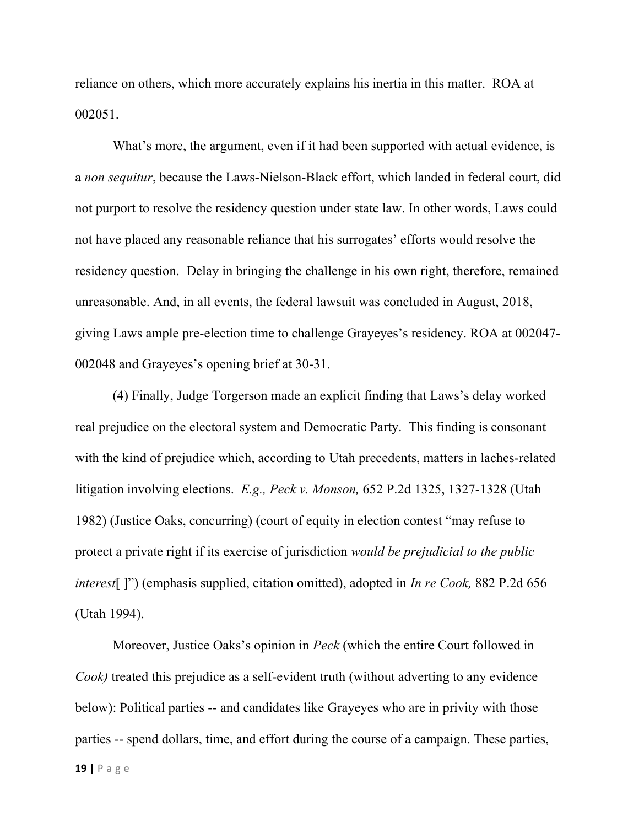reliance on others, which more accurately explains his inertia in this matter. ROA at 002051.

What's more, the argument, even if it had been supported with actual evidence, is a non sequitur, because the Laws-Nielson-Black effort, which landed in federal court, did not purport to resolve the residency question under state law. In other words, Laws could not have placed any reasonable reliance that his surrogates' efforts would resolve the residency question. Delay in bringing the challenge in his own right, therefore, remained unreasonable. And, in all events, the federal lawsuit was concluded in August, 2018, giving Laws ample pre-election time to challenge Grayeyes's residency. ROA at 002047- 002048 and Grayeyes's opening brief at 30-31.

(4) Finally, Judge Torgerson made an explicit finding that Laws's delay worked real prejudice on the electoral system and Democratic Party. This finding is consonant with the kind of prejudice which, according to Utah precedents, matters in laches-related litigation involving elections. E.g., Peck v. Monson, 652 P.2d 1325, 1327-1328 (Utah 1982) (Justice Oaks, concurring) (court of equity in election contest "may refuse to protect a private right if its exercise of jurisdiction would be prejudicial to the public interest []") (emphasis supplied, citation omitted), adopted in *In re Cook*, 882 P.2d 656 (Utah 1994).

Moreover, Justice Oaks's opinion in Peck (which the entire Court followed in Cook) treated this prejudice as a self-evident truth (without adverting to any evidence below): Political parties -- and candidates like Grayeyes who are in privity with those parties -- spend dollars, time, and effort during the course of a campaign. These parties,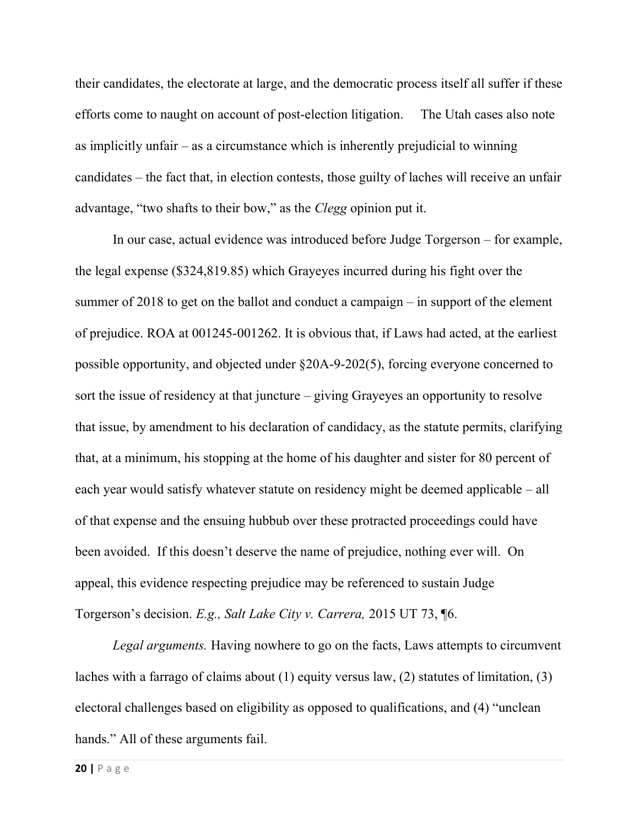their candidates, the electorate at large, and the democratic process itself all suffer if these efforts come to naught on account of post-election litigation. The Utah cases also note as implicitly unfair – as a circumstance which is inherently prejudicial to winning candidates – the fact that, in election contests, those guilty of laches will receive an unfair advantage, "two shafts to their bow," as the Clegg opinion put it.

In our case, actual evidence was introduced before Judge Torgerson – for example, the legal expense (\$324,819.85) which Grayeyes incurred during his fight over the summer of 2018 to get on the ballot and conduct a campaign – in support of the element of prejudice. ROA at 001245-001262. It is obvious that, if Laws had acted, at the earliest possible opportunity, and objected under §20A-9-202(5), forcing everyone concerned to sort the issue of residency at that juncture – giving Grayeyes an opportunity to resolve that issue, by amendment to his declaration of candidacy, as the statute permits, clarifying that, at a minimum, his stopping at the home of his daughter and sister for 80 percent of each year would satisfy whatever statute on residency might be deemed applicable – all of that expense and the ensuing hubbub over these protracted proceedings could have been avoided. If this doesn't deserve the name of prejudice, nothing ever will. On appeal, this evidence respecting prejudice may be referenced to sustain Judge Torgerson's decision. E.g., Salt Lake City v. Carrera, 2015 UT 73, ¶6.

Legal arguments. Having nowhere to go on the facts, Laws attempts to circumvent laches with a farrago of claims about (1) equity versus law, (2) statutes of limitation, (3) electoral challenges based on eligibility as opposed to qualifications, and (4) "unclean hands." All of these arguments fail.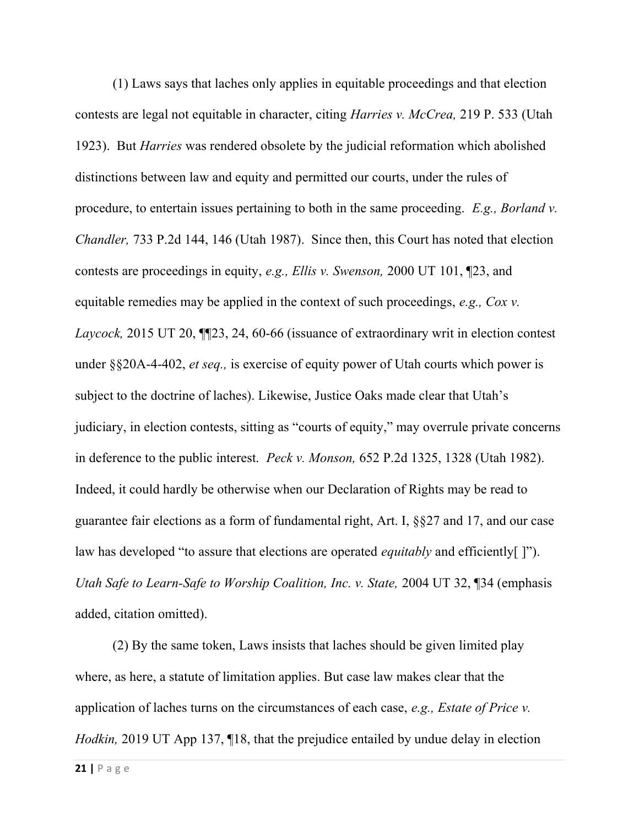(1) Laws says that laches only applies in equitable proceedings and that election contests are legal not equitable in character, citing *Harries v. McCrea*, 219 P. 533 (Utah 1923). But Harries was rendered obsolete by the judicial reformation which abolished distinctions between law and equity and permitted our courts, under the rules of procedure, to entertain issues pertaining to both in the same proceeding.  $E.g.,$  Borland v. Chandler, 733 P.2d 144, 146 (Utah 1987). Since then, this Court has noted that election contests are proceedings in equity, e.g., Ellis v. Swenson, 2000 UT 101, ¶23, and equitable remedies may be applied in the context of such proceedings,  $e.g., Coxv.$ Laycock, 2015 UT 20, ¶¶23, 24, 60-66 (issuance of extraordinary writ in election contest under §§20A-4-402, *et seq.*, is exercise of equity power of Utah courts which power is subject to the doctrine of laches). Likewise, Justice Oaks made clear that Utah's judiciary, in election contests, sitting as "courts of equity," may overrule private concerns in deference to the public interest. Peck v. Monson, 652 P.2d 1325, 1328 (Utah 1982). Indeed, it could hardly be otherwise when our Declaration of Rights may be read to guarantee fair elections as a form of fundamental right, Art. I, §§27 and 17, and our case law has developed "to assure that elections are operated *equitably* and efficiently ["). Utah Safe to Learn-Safe to Worship Coalition, Inc. v. State, 2004 UT 32, [34 (emphasis added, citation omitted).

 (2) By the same token, Laws insists that laches should be given limited play where, as here, a statute of limitation applies. But case law makes clear that the application of laches turns on the circumstances of each case, e.g., Estate of Price v. Hodkin, 2019 UT App 137, ¶18, that the prejudice entailed by undue delay in election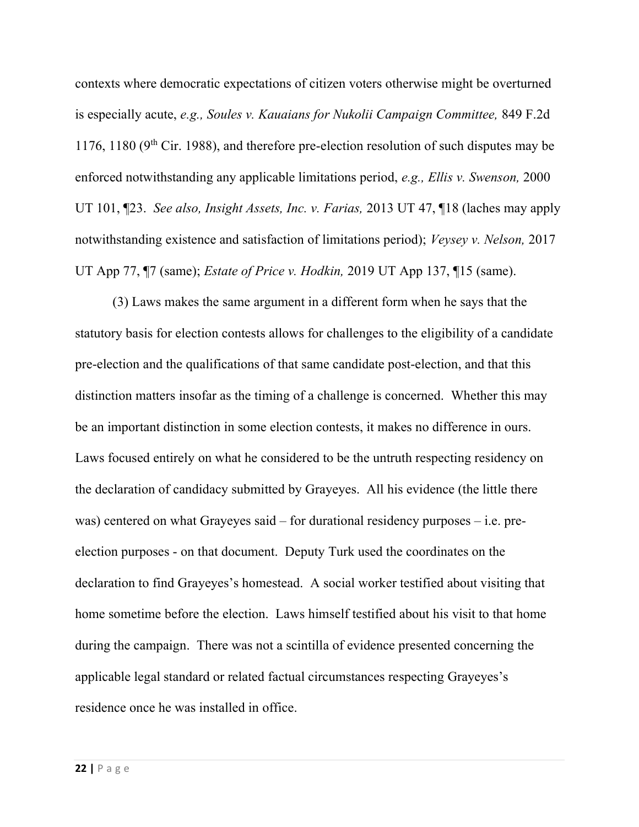contexts where democratic expectations of citizen voters otherwise might be overturned is especially acute, e.g., Soules v. Kauaians for Nukolii Campaign Committee, 849 F.2d 1176, 1180 ( $9<sup>th</sup>$  Cir. 1988), and therefore pre-election resolution of such disputes may be enforced notwithstanding any applicable limitations period, e.g., Ellis v. Swenson, 2000 UT 101,  $\mathbb{Z}^2$ 3. See also, Insight Assets, Inc. v. Farias, 2013 UT 47,  $\mathbb{Z}^1$ 18 (laches may apply notwithstanding existence and satisfaction of limitations period); Veysey v. Nelson, 2017 UT App 77,  $\P$ 7 (same); *Estate of Price v. Hodkin*, 2019 UT App 137,  $\P$ 15 (same).

 (3) Laws makes the same argument in a different form when he says that the statutory basis for election contests allows for challenges to the eligibility of a candidate pre-election and the qualifications of that same candidate post-election, and that this distinction matters insofar as the timing of a challenge is concerned. Whether this may be an important distinction in some election contests, it makes no difference in ours. Laws focused entirely on what he considered to be the untruth respecting residency on the declaration of candidacy submitted by Grayeyes. All his evidence (the little there was) centered on what Grayeyes said – for durational residency purposes – i.e. preelection purposes - on that document. Deputy Turk used the coordinates on the declaration to find Grayeyes's homestead. A social worker testified about visiting that home sometime before the election. Laws himself testified about his visit to that home during the campaign. There was not a scintilla of evidence presented concerning the applicable legal standard or related factual circumstances respecting Grayeyes's residence once he was installed in office.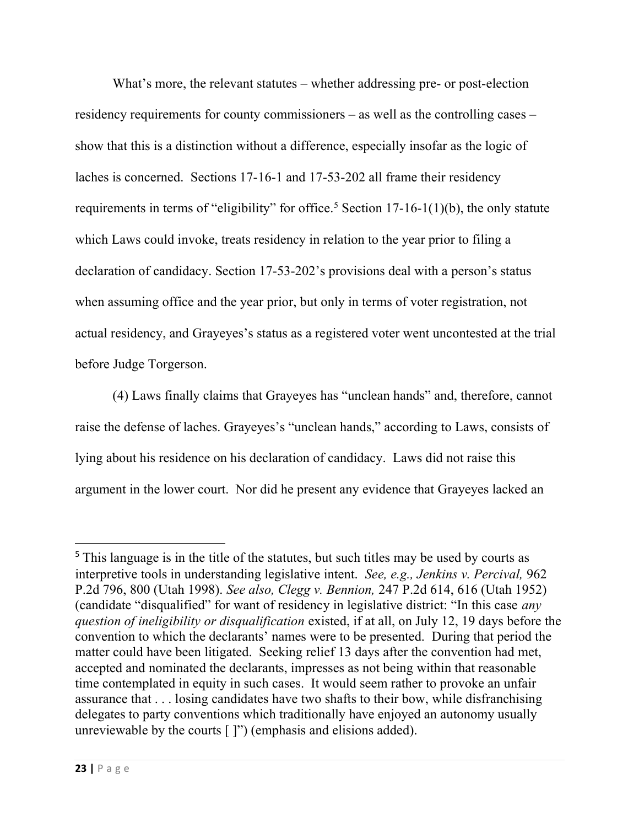What's more, the relevant statutes – whether addressing pre- or post-election residency requirements for county commissioners – as well as the controlling cases – show that this is a distinction without a difference, especially insofar as the logic of laches is concerned. Sections 17-16-1 and 17-53-202 all frame their residency requirements in terms of "eligibility" for office.<sup>5</sup> Section 17-16-1(1)(b), the only statute which Laws could invoke, treats residency in relation to the year prior to filing a declaration of candidacy. Section 17-53-202's provisions deal with a person's status when assuming office and the year prior, but only in terms of voter registration, not actual residency, and Grayeyes's status as a registered voter went uncontested at the trial before Judge Torgerson.

 (4) Laws finally claims that Grayeyes has "unclean hands" and, therefore, cannot raise the defense of laches. Grayeyes's "unclean hands," according to Laws, consists of lying about his residence on his declaration of candidacy. Laws did not raise this argument in the lower court. Nor did he present any evidence that Grayeyes lacked an

<sup>&</sup>lt;sup>5</sup> This language is in the title of the statutes, but such titles may be used by courts as interpretive tools in understanding legislative intent. See, e.g., Jenkins v. Percival, 962 P.2d 796, 800 (Utah 1998). See also, Clegg v. Bennion, 247 P.2d 614, 616 (Utah 1952) (candidate "disqualified" for want of residency in legislative district: "In this case any question of ineligibility or disqualification existed, if at all, on July 12, 19 days before the convention to which the declarants' names were to be presented. During that period the matter could have been litigated. Seeking relief 13 days after the convention had met, accepted and nominated the declarants, impresses as not being within that reasonable time contemplated in equity in such cases. It would seem rather to provoke an unfair assurance that . . . losing candidates have two shafts to their bow, while disfranchising delegates to party conventions which traditionally have enjoyed an autonomy usually unreviewable by the courts [ ]") (emphasis and elisions added).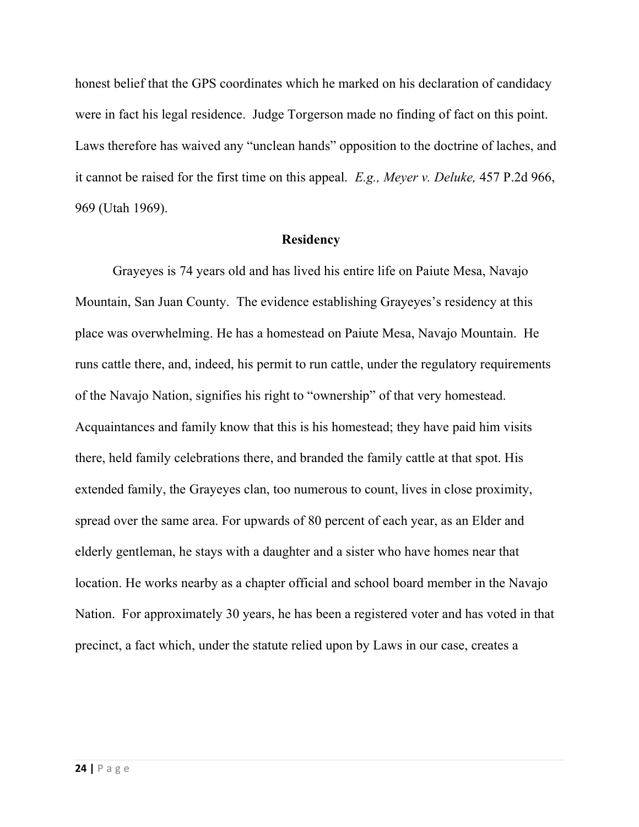honest belief that the GPS coordinates which he marked on his declaration of candidacy were in fact his legal residence. Judge Torgerson made no finding of fact on this point. Laws therefore has waived any "unclean hands" opposition to the doctrine of laches, and it cannot be raised for the first time on this appeal. E.g., Meyer v. Deluke, 457 P.2d 966, 969 (Utah 1969).

#### **Residency**

Grayeyes is 74 years old and has lived his entire life on Paiute Mesa, Navajo Mountain, San Juan County. The evidence establishing Grayeyes's residency at this place was overwhelming. He has a homestead on Paiute Mesa, Navajo Mountain. He runs cattle there, and, indeed, his permit to run cattle, under the regulatory requirements of the Navajo Nation, signifies his right to "ownership" of that very homestead. Acquaintances and family know that this is his homestead; they have paid him visits there, held family celebrations there, and branded the family cattle at that spot. His extended family, the Grayeyes clan, too numerous to count, lives in close proximity, spread over the same area. For upwards of 80 percent of each year, as an Elder and elderly gentleman, he stays with a daughter and a sister who have homes near that location. He works nearby as a chapter official and school board member in the Navajo Nation. For approximately 30 years, he has been a registered voter and has voted in that precinct, a fact which, under the statute relied upon by Laws in our case, creates a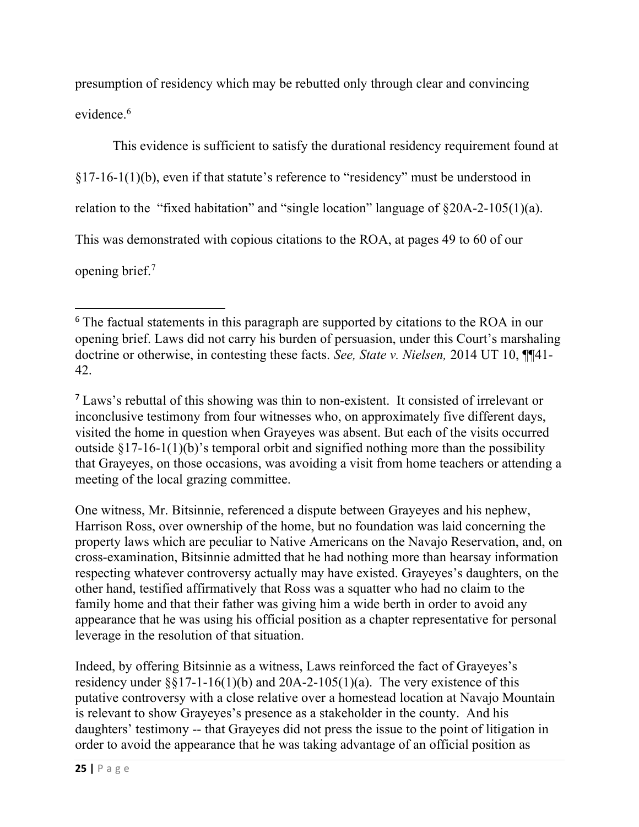presumption of residency which may be rebutted only through clear and convincing evidence.<sup>6</sup>

This evidence is sufficient to satisfy the durational residency requirement found at  $\S17-16-1(1)(b)$ , even if that statute's reference to "residency" must be understood in relation to the "fixed habitation" and "single location" language of §20A-2-105(1)(a). This was demonstrated with copious citations to the ROA, at pages 49 to 60 of our opening brief.<sup>7</sup>

<sup>7</sup> Laws's rebuttal of this showing was thin to non-existent. It consisted of irrelevant or inconclusive testimony from four witnesses who, on approximately five different days, visited the home in question when Grayeyes was absent. But each of the visits occurred outside  $\S 17-16-1(1)(b)$ 's temporal orbit and signified nothing more than the possibility that Grayeyes, on those occasions, was avoiding a visit from home teachers or attending a meeting of the local grazing committee.

One witness, Mr. Bitsinnie, referenced a dispute between Grayeyes and his nephew, Harrison Ross, over ownership of the home, but no foundation was laid concerning the property laws which are peculiar to Native Americans on the Navajo Reservation, and, on cross-examination, Bitsinnie admitted that he had nothing more than hearsay information respecting whatever controversy actually may have existed. Grayeyes's daughters, on the other hand, testified affirmatively that Ross was a squatter who had no claim to the family home and that their father was giving him a wide berth in order to avoid any appearance that he was using his official position as a chapter representative for personal leverage in the resolution of that situation.

Indeed, by offering Bitsinnie as a witness, Laws reinforced the fact of Grayeyes's residency under  $\S$ §17-1-16(1)(b) and 20A-2-105(1)(a). The very existence of this putative controversy with a close relative over a homestead location at Navajo Mountain is relevant to show Grayeyes's presence as a stakeholder in the county. And his daughters' testimony -- that Grayeyes did not press the issue to the point of litigation in order to avoid the appearance that he was taking advantage of an official position as

<sup>&</sup>lt;sup>6</sup> The factual statements in this paragraph are supported by citations to the ROA in our opening brief. Laws did not carry his burden of persuasion, under this Court's marshaling doctrine or otherwise, in contesting these facts. See, State v. Nielsen, 2014 UT 10, ¶¶41-42.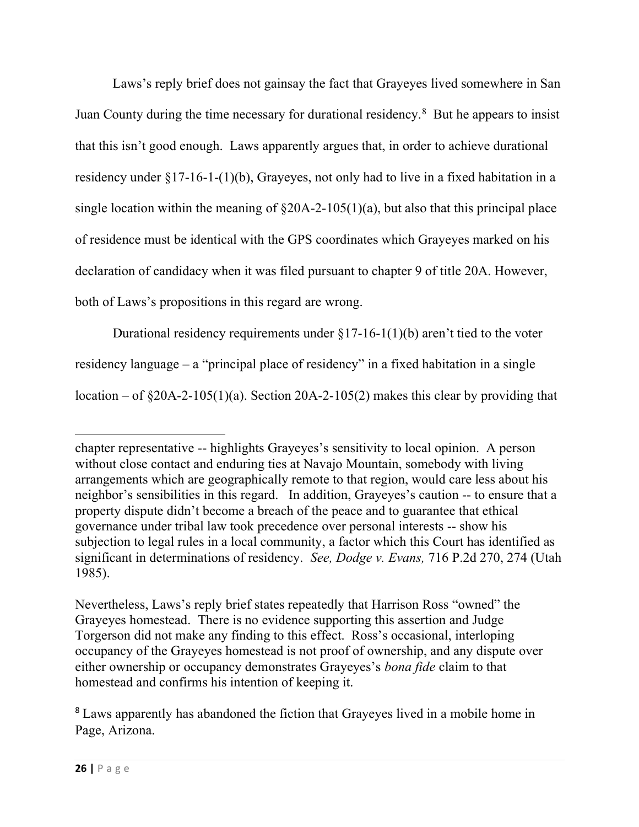Laws's reply brief does not gainsay the fact that Grayeyes lived somewhere in San Juan County during the time necessary for durational residency.<sup>8</sup> But he appears to insist that this isn't good enough. Laws apparently argues that, in order to achieve durational residency under §17-16-1-(1)(b), Grayeyes, not only had to live in a fixed habitation in a single location within the meaning of  $\S20A-2-105(1)(a)$ , but also that this principal place of residence must be identical with the GPS coordinates which Grayeyes marked on his declaration of candidacy when it was filed pursuant to chapter 9 of title 20A. However, both of Laws's propositions in this regard are wrong.

Durational residency requirements under  $\S 17-16-1(1)(b)$  aren't tied to the voter residency language – a "principal place of residency" in a fixed habitation in a single location – of  $\S 20A-2-105(1)(a)$ . Section 20A-2-105(2) makes this clear by providing that

chapter representative -- highlights Grayeyes's sensitivity to local opinion. A person without close contact and enduring ties at Navajo Mountain, somebody with living arrangements which are geographically remote to that region, would care less about his neighbor's sensibilities in this regard. In addition, Grayeyes's caution -- to ensure that a property dispute didn't become a breach of the peace and to guarantee that ethical governance under tribal law took precedence over personal interests -- show his subjection to legal rules in a local community, a factor which this Court has identified as significant in determinations of residency. See, Dodge v. Evans, 716 P.2d 270, 274 (Utah 1985).

Nevertheless, Laws's reply brief states repeatedly that Harrison Ross "owned" the Grayeyes homestead. There is no evidence supporting this assertion and Judge Torgerson did not make any finding to this effect. Ross's occasional, interloping occupancy of the Grayeyes homestead is not proof of ownership, and any dispute over either ownership or occupancy demonstrates Grayeyes's bona fide claim to that homestead and confirms his intention of keeping it.

<sup>8</sup> Laws apparently has abandoned the fiction that Grayeyes lived in a mobile home in Page, Arizona.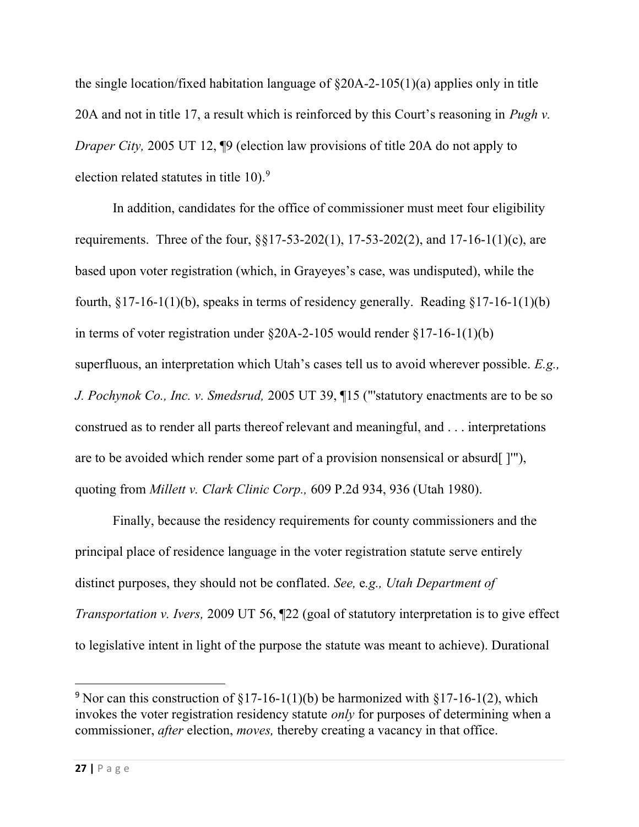the single location/fixed habitation language of  $\S20A-2-105(1)(a)$  applies only in title 20A and not in title 17, a result which is reinforced by this Court's reasoning in *Pugh v*. Draper City, 2005 UT 12, ¶9 (election law provisions of title 20A do not apply to election related statutes in title 10).<sup>9</sup>

In addition, candidates for the office of commissioner must meet four eligibility requirements. Three of the four, §§17-53-202(1), 17-53-202(2), and 17-16-1(1)(c), are based upon voter registration (which, in Grayeyes's case, was undisputed), while the fourth,  $\S17-16-1(1)(b)$ , speaks in terms of residency generally. Reading  $\S17-16-1(1)(b)$ in terms of voter registration under  $\S20A-2-105$  would render  $\S17-16-1(1)(b)$ superfluous, an interpretation which Utah's cases tell us to avoid wherever possible. E.g., J. Pochynok Co., Inc. v. Smedsrud, 2005 UT 39, 15 ("statutory enactments are to be so construed as to render all parts thereof relevant and meaningful, and . . . interpretations are to be avoided which render some part of a provision nonsensical or absurd[ ]'"), quoting from Millett v. Clark Clinic Corp., 609 P.2d 934, 936 (Utah 1980).

Finally, because the residency requirements for county commissioners and the principal place of residence language in the voter registration statute serve entirely distinct purposes, they should not be conflated. See, e.g., Utah Department of Transportation v. Ivers, 2009 UT 56, ¶22 (goal of statutory interpretation is to give effect to legislative intent in light of the purpose the statute was meant to achieve). Durational

<sup>&</sup>lt;sup>9</sup> Nor can this construction of  $$17-16-1(1)(b)$  be harmonized with  $$17-16-1(2)$ , which invokes the voter registration residency statute only for purposes of determining when a commissioner, after election, moves, thereby creating a vacancy in that office.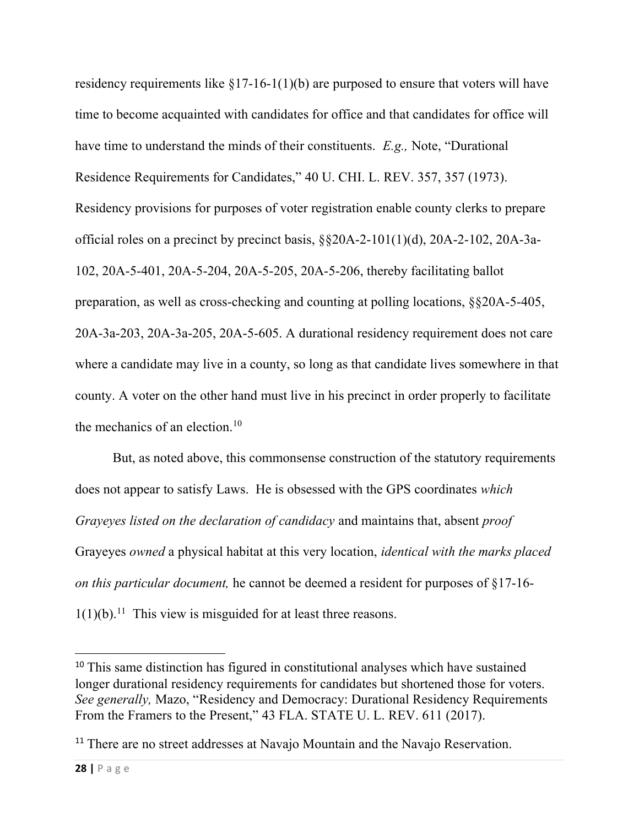residency requirements like  $\S17-16-1(1)(b)$  are purposed to ensure that voters will have time to become acquainted with candidates for office and that candidates for office will have time to understand the minds of their constituents. E.g., Note, "Durational Residence Requirements for Candidates," 40 U. CHI. L. REV. 357, 357 (1973). Residency provisions for purposes of voter registration enable county clerks to prepare official roles on a precinct by precinct basis, §§20A-2-101(1)(d), 20A-2-102, 20A-3a-102, 20A-5-401, 20A-5-204, 20A-5-205, 20A-5-206, thereby facilitating ballot preparation, as well as cross-checking and counting at polling locations, §§20A-5-405, 20A-3a-203, 20A-3a-205, 20A-5-605. A durational residency requirement does not care where a candidate may live in a county, so long as that candidate lives somewhere in that county. A voter on the other hand must live in his precinct in order properly to facilitate the mechanics of an election.<sup>10</sup>

But, as noted above, this commonsense construction of the statutory requirements does not appear to satisfy Laws. He is obsessed with the GPS coordinates which Grayeyes listed on the declaration of candidacy and maintains that, absent proof Grayeyes owned a physical habitat at this very location, identical with the marks placed on this particular document, he cannot be deemed a resident for purposes of §17-16-  $1(1)(b)$ .<sup>11</sup> This view is misguided for at least three reasons.

<sup>&</sup>lt;sup>10</sup> This same distinction has figured in constitutional analyses which have sustained longer durational residency requirements for candidates but shortened those for voters. See generally, Mazo, "Residency and Democracy: Durational Residency Requirements From the Framers to the Present," 43 FLA. STATE U. L. REV. 611 (2017).

<sup>&</sup>lt;sup>11</sup> There are no street addresses at Navajo Mountain and the Navajo Reservation.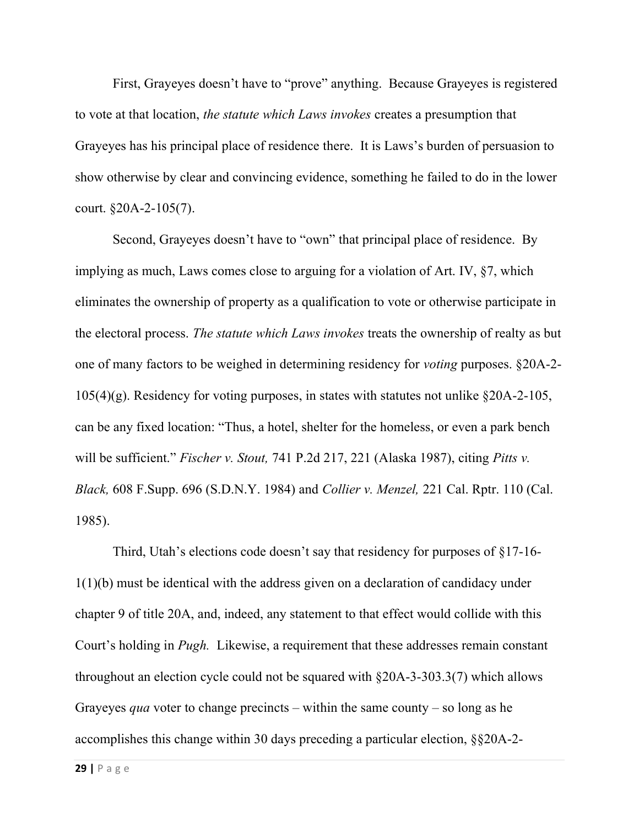First, Grayeyes doesn't have to "prove" anything. Because Grayeyes is registered to vote at that location, the statute which Laws invokes creates a presumption that Grayeyes has his principal place of residence there. It is Laws's burden of persuasion to show otherwise by clear and convincing evidence, something he failed to do in the lower court. §20A-2-105(7).

Second, Grayeyes doesn't have to "own" that principal place of residence. By implying as much, Laws comes close to arguing for a violation of Art. IV, §7, which eliminates the ownership of property as a qualification to vote or otherwise participate in the electoral process. The statute which Laws invokes treats the ownership of realty as but one of many factors to be weighed in determining residency for voting purposes. §20A-2- 105(4)(g). Residency for voting purposes, in states with statutes not unlike §20A-2-105, can be any fixed location: "Thus, a hotel, shelter for the homeless, or even a park bench will be sufficient." Fischer v. Stout, 741 P.2d 217, 221 (Alaska 1987), citing Pitts v. Black, 608 F.Supp. 696 (S.D.N.Y. 1984) and Collier v. Menzel, 221 Cal. Rptr. 110 (Cal. 1985).

Third, Utah's elections code doesn't say that residency for purposes of §17-16- 1(1)(b) must be identical with the address given on a declaration of candidacy under chapter 9 of title 20A, and, indeed, any statement to that effect would collide with this Court's holding in Pugh. Likewise, a requirement that these addresses remain constant throughout an election cycle could not be squared with §20A-3-303.3(7) which allows Grayeyes *qua* voter to change precincts – within the same county – so long as he accomplishes this change within 30 days preceding a particular election, §§20A-2-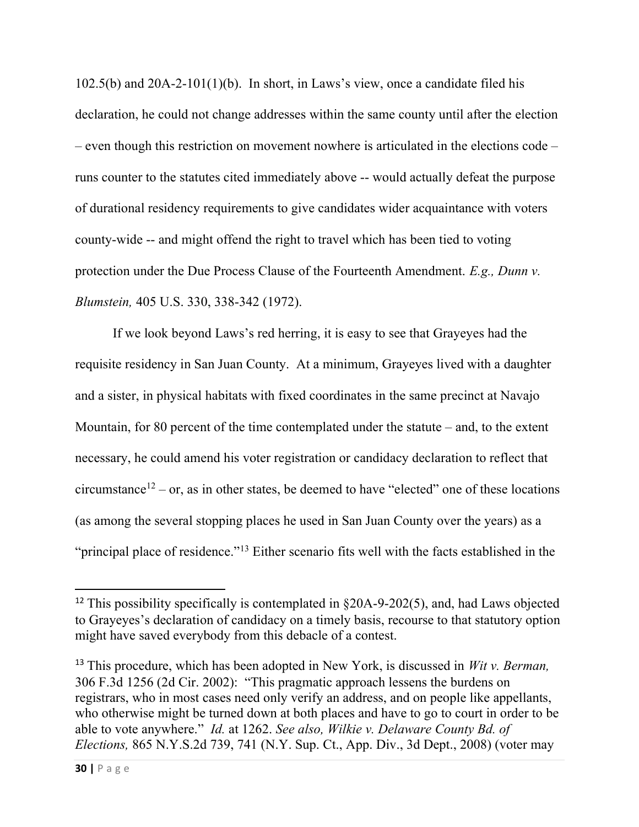102.5(b) and 20A-2-101(1)(b). In short, in Laws's view, once a candidate filed his declaration, he could not change addresses within the same county until after the election – even though this restriction on movement nowhere is articulated in the elections code – runs counter to the statutes cited immediately above -- would actually defeat the purpose of durational residency requirements to give candidates wider acquaintance with voters county-wide -- and might offend the right to travel which has been tied to voting protection under the Due Process Clause of the Fourteenth Amendment. E.g., Dunn v. Blumstein, 405 U.S. 330, 338-342 (1972).

If we look beyond Laws's red herring, it is easy to see that Grayeyes had the requisite residency in San Juan County. At a minimum, Grayeyes lived with a daughter and a sister, in physical habitats with fixed coordinates in the same precinct at Navajo Mountain, for 80 percent of the time contemplated under the statute – and, to the extent necessary, he could amend his voter registration or candidacy declaration to reflect that circumstance<sup>12</sup> – or, as in other states, be deemed to have "elected" one of these locations (as among the several stopping places he used in San Juan County over the years) as a "principal place of residence."<sup>13</sup> Either scenario fits well with the facts established in the

<sup>&</sup>lt;sup>12</sup> This possibility specifically is contemplated in  $\delta$ 20A-9-202(5), and, had Laws objected to Grayeyes's declaration of candidacy on a timely basis, recourse to that statutory option might have saved everybody from this debacle of a contest.

<sup>&</sup>lt;sup>13</sup> This procedure, which has been adopted in New York, is discussed in *Wit v. Berman*, 306 F.3d 1256 (2d Cir. 2002): "This pragmatic approach lessens the burdens on registrars, who in most cases need only verify an address, and on people like appellants, who otherwise might be turned down at both places and have to go to court in order to be able to vote anywhere." Id. at 1262. See also, Wilkie v. Delaware County Bd. of Elections, 865 N.Y.S.2d 739, 741 (N.Y. Sup. Ct., App. Div., 3d Dept., 2008) (voter may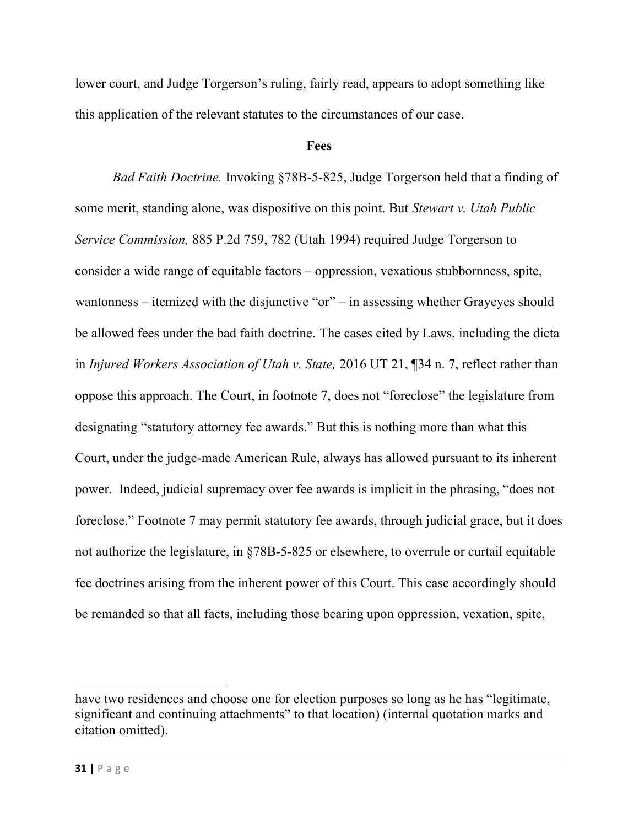lower court, and Judge Torgerson's ruling, fairly read, appears to adopt something like this application of the relevant statutes to the circumstances of our case.

#### Fees

Bad Faith Doctrine. Invoking §78B-5-825, Judge Torgerson held that a finding of some merit, standing alone, was dispositive on this point. But *Stewart v. Utah Public* Service Commission, 885 P.2d 759, 782 (Utah 1994) required Judge Torgerson to consider a wide range of equitable factors – oppression, vexatious stubbornness, spite, wantonness – itemized with the disjunctive "or" – in assessing whether Grayeyes should be allowed fees under the bad faith doctrine. The cases cited by Laws, including the dicta in Injured Workers Association of Utah v. State, 2016 UT 21, ¶34 n. 7, reflect rather than oppose this approach. The Court, in footnote 7, does not "foreclose" the legislature from designating "statutory attorney fee awards." But this is nothing more than what this Court, under the judge-made American Rule, always has allowed pursuant to its inherent power. Indeed, judicial supremacy over fee awards is implicit in the phrasing, "does not foreclose." Footnote 7 may permit statutory fee awards, through judicial grace, but it does not authorize the legislature, in §78B-5-825 or elsewhere, to overrule or curtail equitable fee doctrines arising from the inherent power of this Court. This case accordingly should be remanded so that all facts, including those bearing upon oppression, vexation, spite,

have two residences and choose one for election purposes so long as he has "legitimate, significant and continuing attachments" to that location) (internal quotation marks and citation omitted).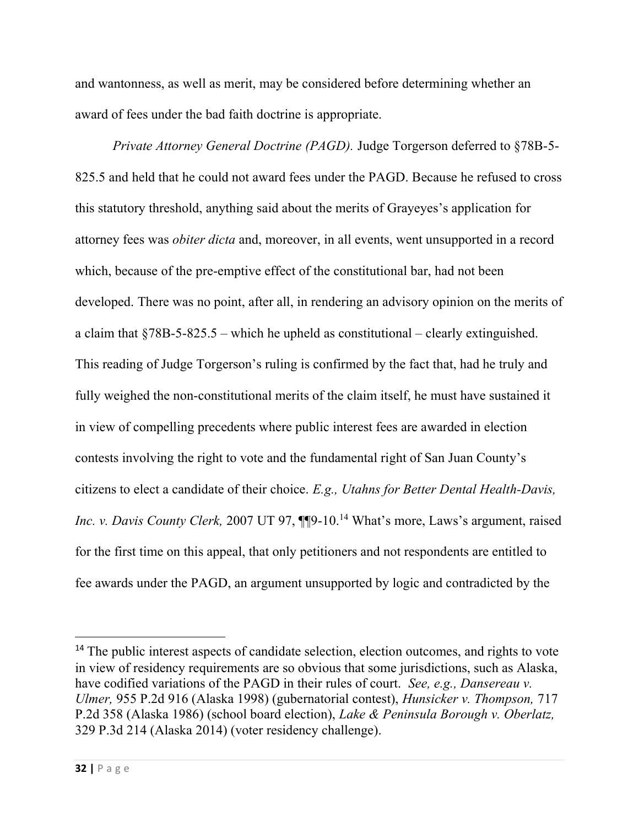and wantonness, as well as merit, may be considered before determining whether an award of fees under the bad faith doctrine is appropriate.

Private Attorney General Doctrine (PAGD). Judge Torgerson deferred to §78B-5- 825.5 and held that he could not award fees under the PAGD. Because he refused to cross this statutory threshold, anything said about the merits of Grayeyes's application for attorney fees was obiter dicta and, moreover, in all events, went unsupported in a record which, because of the pre-emptive effect of the constitutional bar, had not been developed. There was no point, after all, in rendering an advisory opinion on the merits of a claim that  $\frac{$78B-5-825.5 -}{}$  which he upheld as constitutional – clearly extinguished. This reading of Judge Torgerson's ruling is confirmed by the fact that, had he truly and fully weighed the non-constitutional merits of the claim itself, he must have sustained it in view of compelling precedents where public interest fees are awarded in election contests involving the right to vote and the fundamental right of San Juan County's citizens to elect a candidate of their choice. E.g., Utahns for Better Dental Health-Davis, Inc. v. Davis County Clerk, 2007 UT 97,  $\P\P 9$ -10.<sup>14</sup> What's more, Laws's argument, raised for the first time on this appeal, that only petitioners and not respondents are entitled to fee awards under the PAGD, an argument unsupported by logic and contradicted by the

<sup>&</sup>lt;sup>14</sup> The public interest aspects of candidate selection, election outcomes, and rights to vote in view of residency requirements are so obvious that some jurisdictions, such as Alaska, have codified variations of the PAGD in their rules of court. See, e.g., Dansereau v. Ulmer, 955 P.2d 916 (Alaska 1998) (gubernatorial contest), Hunsicker v. Thompson, 717 P.2d 358 (Alaska 1986) (school board election), Lake & Peninsula Borough v. Oberlatz, 329 P.3d 214 (Alaska 2014) (voter residency challenge).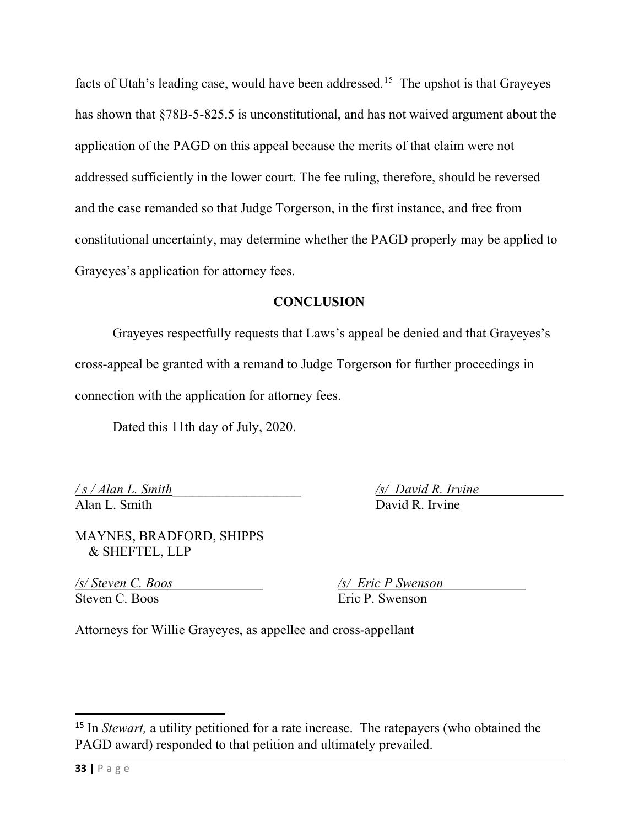facts of Utah's leading case, would have been addressed.<sup>15</sup> The upshot is that Grayeyes has shown that §78B-5-825.5 is unconstitutional, and has not waived argument about the application of the PAGD on this appeal because the merits of that claim were not addressed sufficiently in the lower court. The fee ruling, therefore, should be reversed and the case remanded so that Judge Torgerson, in the first instance, and free from constitutional uncertainty, may determine whether the PAGD properly may be applied to Grayeyes's application for attorney fees.

## **CONCLUSION**

 Grayeyes respectfully requests that Laws's appeal be denied and that Grayeyes's cross-appeal be granted with a remand to Judge Torgerson for further proceedings in connection with the application for attorney fees.

Dated this 11th day of July, 2020.

Alan L. Smith David R. Irvine

 $\sqrt{s}/$  Alan L. Smith  $\sqrt{s}/$  David R. Irvine

MAYNES, BRADFORD, SHIPPS & SHEFTEL, LLP

/s/ Steven C. Boos /s/ Eric P Swenson Steven C. Boos **Example 2** Eric P. Swenson

Attorneys for Willie Grayeyes, as appellee and cross-appellant

<sup>&</sup>lt;sup>15</sup> In *Stewart*, a utility petitioned for a rate increase. The ratepayers (who obtained the PAGD award) responded to that petition and ultimately prevailed.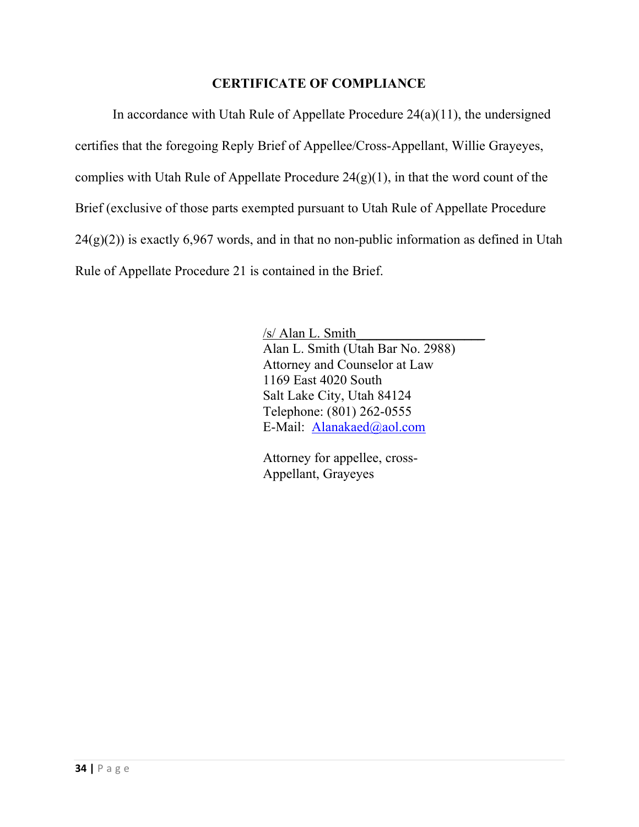## CERTIFICATE OF COMPLIANCE

In accordance with Utah Rule of Appellate Procedure  $24(a)(11)$ , the undersigned certifies that the foregoing Reply Brief of Appellee/Cross-Appellant, Willie Grayeyes, complies with Utah Rule of Appellate Procedure  $24(g)(1)$ , in that the word count of the Brief (exclusive of those parts exempted pursuant to Utah Rule of Appellate Procedure  $24(g)(2)$ ) is exactly 6,967 words, and in that no non-public information as defined in Utah Rule of Appellate Procedure 21 is contained in the Brief.

> /s/ Alan L. Smith\_\_\_\_\_\_\_\_\_\_\_\_\_\_\_\_\_\_\_ Alan L. Smith (Utah Bar No. 2988) Attorney and Counselor at Law 1169 East 4020 South Salt Lake City, Utah 84124 Telephone: (801) 262-0555 E-Mail: Alanakaed@aol.com

 Attorney for appellee, cross- Appellant, Grayeyes